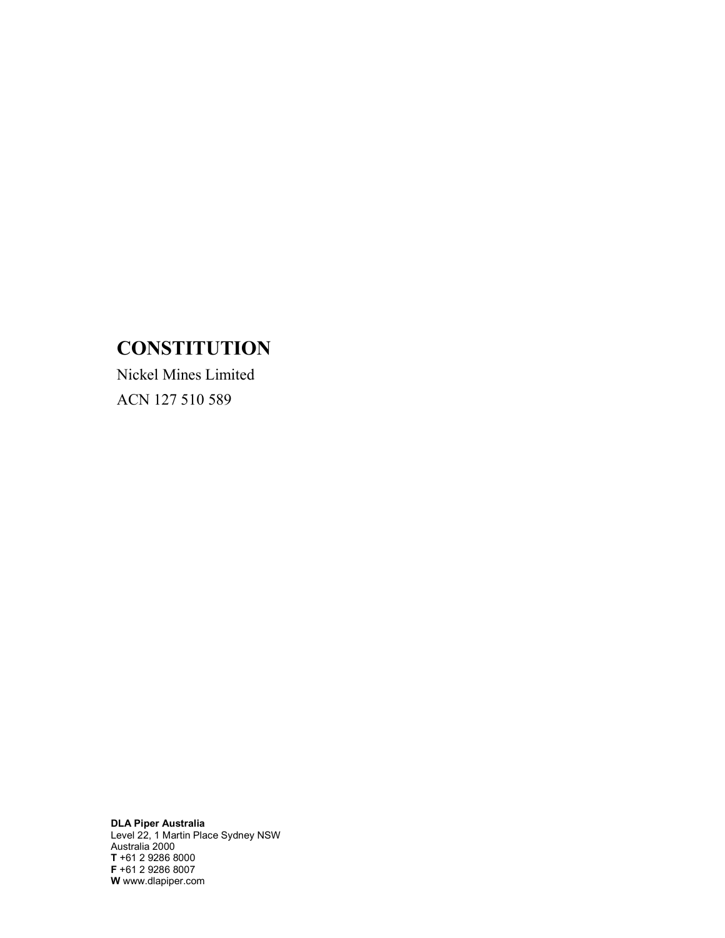# **CONSTITUTION**

Nickel Mines Limited ACN 127 510 589

DLA Piper Australia Level 22, 1 Martin Place Sydney NSW Australia 2000 T +61 2 9286 8000 F +61 2 9286 8007 W www.dlapiper.com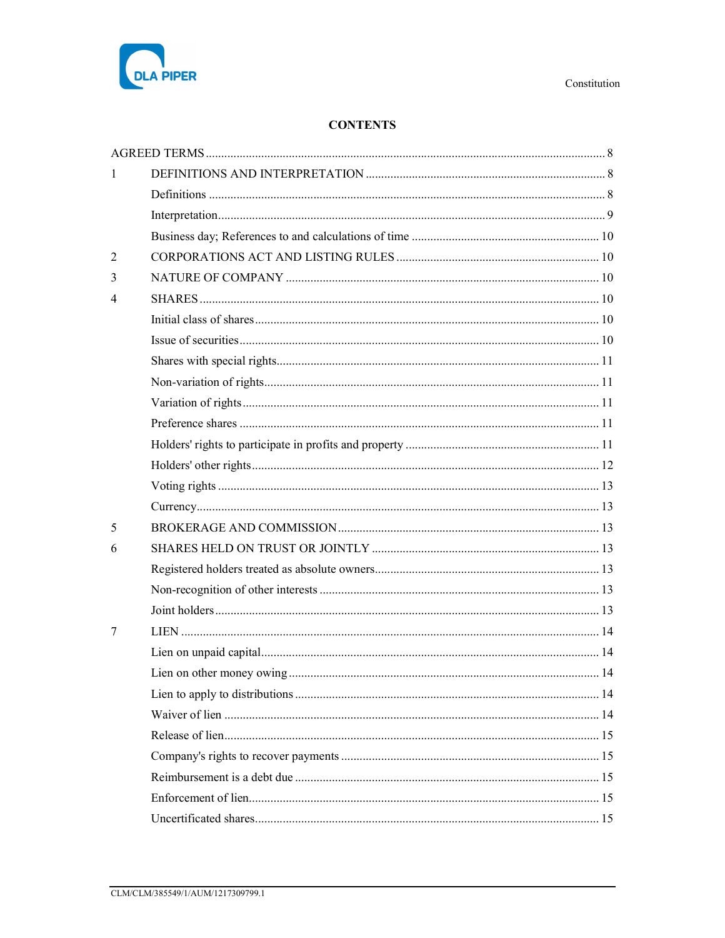

# **CONTENTS**

| 1              |  |
|----------------|--|
|                |  |
|                |  |
|                |  |
| $\overline{2}$ |  |
| 3              |  |
| 4              |  |
|                |  |
|                |  |
|                |  |
|                |  |
|                |  |
|                |  |
|                |  |
|                |  |
|                |  |
|                |  |
| 5              |  |
| 6              |  |
|                |  |
|                |  |
|                |  |
| 7              |  |
|                |  |
|                |  |
|                |  |
|                |  |
|                |  |
|                |  |
|                |  |
|                |  |
|                |  |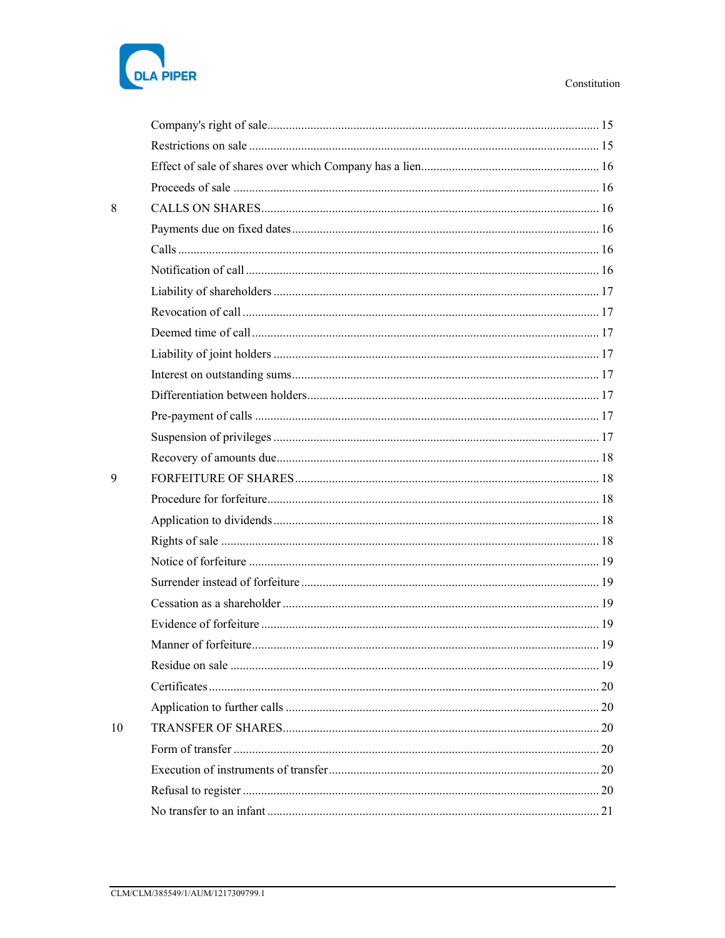# DLA PIPER

| 8  |  |
|----|--|
|    |  |
|    |  |
|    |  |
|    |  |
|    |  |
|    |  |
|    |  |
|    |  |
|    |  |
|    |  |
|    |  |
|    |  |
| 9  |  |
|    |  |
|    |  |
|    |  |
|    |  |
|    |  |
|    |  |
|    |  |
|    |  |
|    |  |
|    |  |
|    |  |
| 10 |  |
|    |  |
|    |  |
|    |  |
|    |  |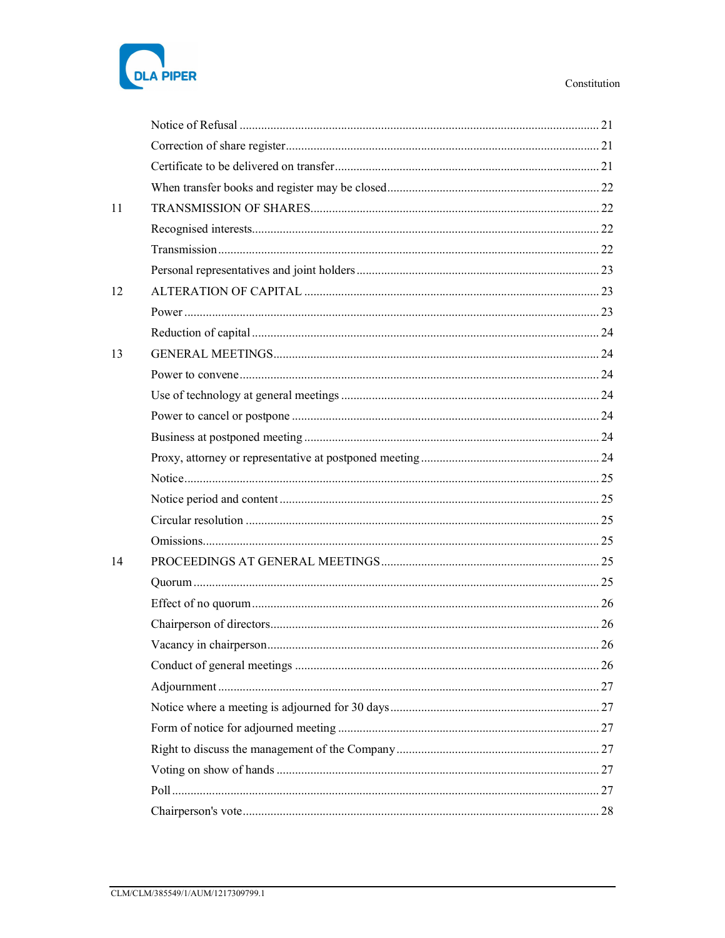| <b>DLA PIPER</b> |  |
|------------------|--|

| 11 |  |
|----|--|
|    |  |
|    |  |
|    |  |
| 12 |  |
|    |  |
|    |  |
| 13 |  |
|    |  |
|    |  |
|    |  |
|    |  |
|    |  |
|    |  |
|    |  |
|    |  |
|    |  |
| 14 |  |
|    |  |
|    |  |
|    |  |
|    |  |
|    |  |
|    |  |
|    |  |
|    |  |
|    |  |
|    |  |
|    |  |
|    |  |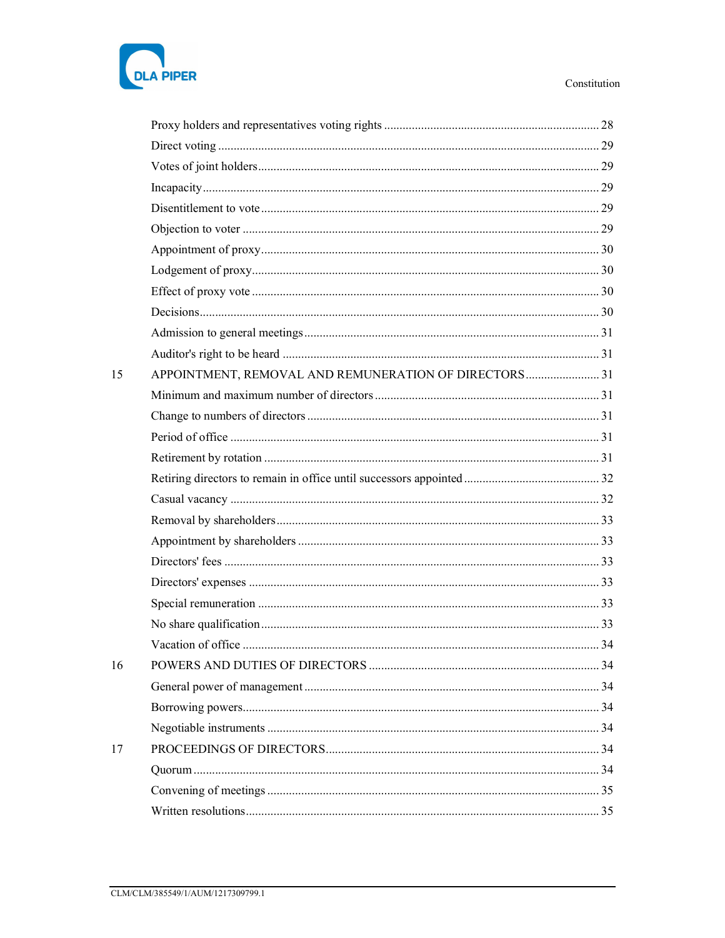

| 15 | APPOINTMENT, REMOVAL AND REMUNERATION OF DIRECTORS 31 |    |
|----|-------------------------------------------------------|----|
|    |                                                       |    |
|    |                                                       |    |
|    |                                                       |    |
|    |                                                       |    |
|    |                                                       |    |
|    |                                                       |    |
|    |                                                       |    |
|    |                                                       |    |
|    |                                                       |    |
|    |                                                       |    |
|    |                                                       |    |
|    |                                                       |    |
|    | Vacation of office                                    | 34 |
| 16 |                                                       |    |
|    |                                                       |    |
|    |                                                       |    |
|    |                                                       |    |
| 17 |                                                       |    |
|    |                                                       |    |
|    |                                                       |    |
|    |                                                       |    |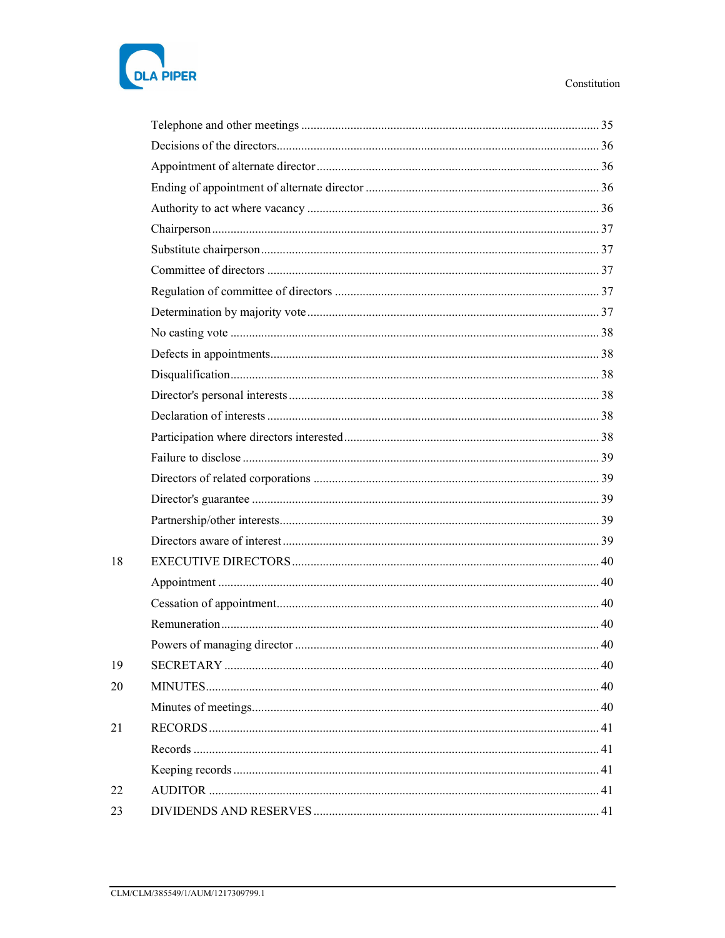

| 18 |  |
|----|--|
|    |  |
|    |  |
|    |  |
|    |  |
| 19 |  |
| 20 |  |
|    |  |
| 21 |  |
|    |  |
|    |  |
| 22 |  |
| 23 |  |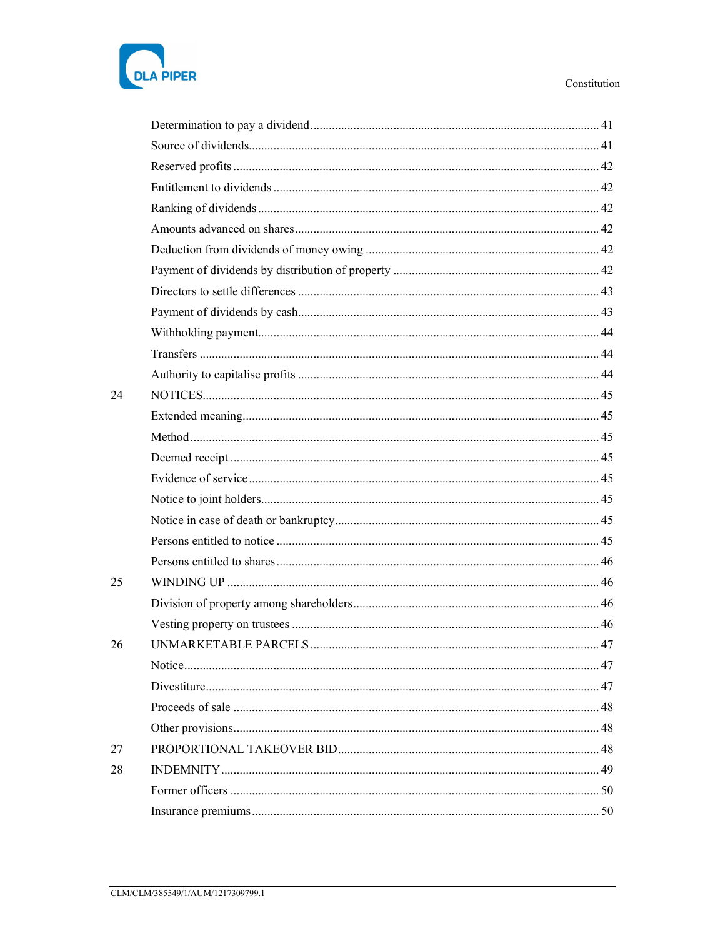

| 24 |  |
|----|--|
|    |  |
|    |  |
|    |  |
|    |  |
|    |  |
|    |  |
|    |  |
|    |  |
| 25 |  |
|    |  |
|    |  |
| 26 |  |
|    |  |
|    |  |
|    |  |
|    |  |
| 27 |  |
| 28 |  |
|    |  |
|    |  |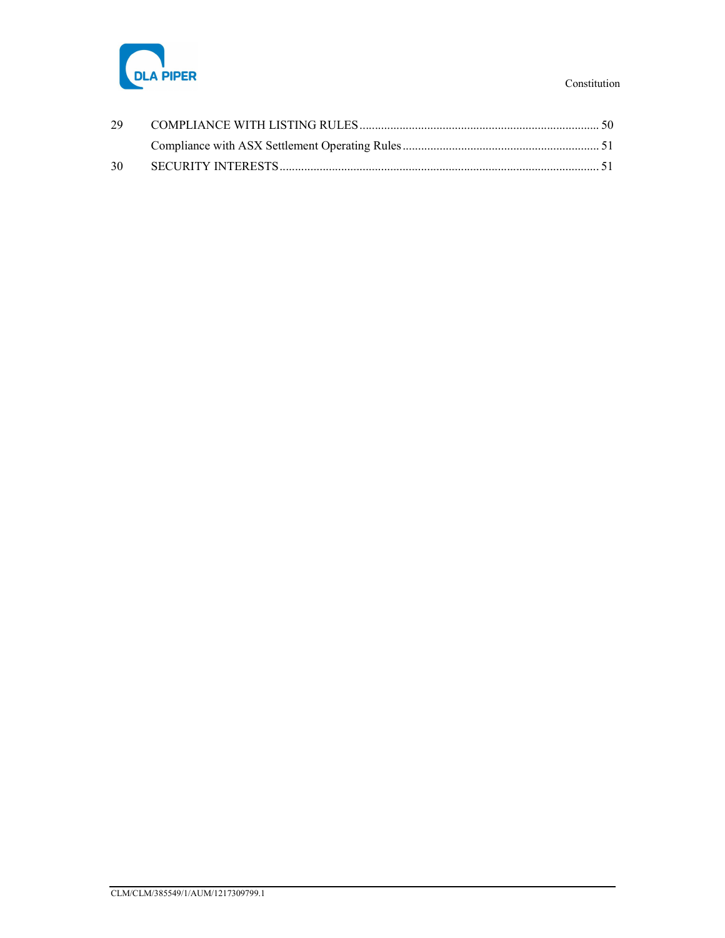

| 30 |  |
|----|--|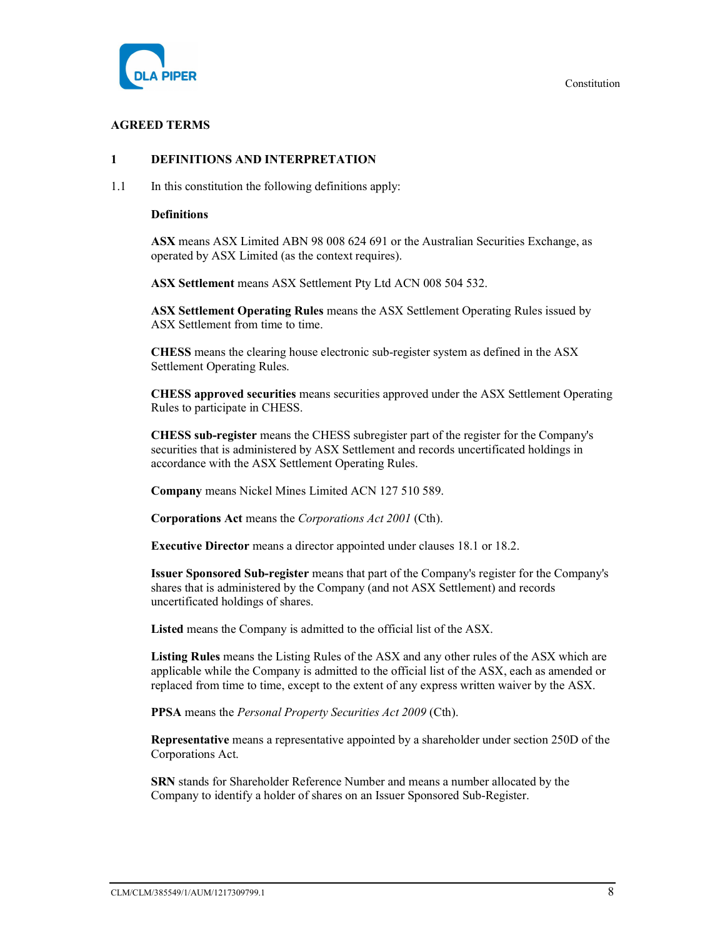

# AGREED TERMS

# 1 DEFINITIONS AND INTERPRETATION

1.1 In this constitution the following definitions apply:

#### **Definitions**

ASX means ASX Limited ABN 98 008 624 691 or the Australian Securities Exchange, as operated by ASX Limited (as the context requires).

ASX Settlement means ASX Settlement Pty Ltd ACN 008 504 532.

ASX Settlement Operating Rules means the ASX Settlement Operating Rules issued by ASX Settlement from time to time.

CHESS means the clearing house electronic sub-register system as defined in the ASX Settlement Operating Rules.

CHESS approved securities means securities approved under the ASX Settlement Operating Rules to participate in CHESS.

CHESS sub-register means the CHESS subregister part of the register for the Company's securities that is administered by ASX Settlement and records uncertificated holdings in accordance with the ASX Settlement Operating Rules.

Company means Nickel Mines Limited ACN 127 510 589.

Corporations Act means the Corporations Act 2001 (Cth).

Executive Director means a director appointed under clauses 18.1 or 18.2.

Issuer Sponsored Sub-register means that part of the Company's register for the Company's shares that is administered by the Company (and not ASX Settlement) and records uncertificated holdings of shares.

Listed means the Company is admitted to the official list of the ASX.

Listing Rules means the Listing Rules of the ASX and any other rules of the ASX which are applicable while the Company is admitted to the official list of the ASX, each as amended or replaced from time to time, except to the extent of any express written waiver by the ASX.

PPSA means the Personal Property Securities Act 2009 (Cth).

Representative means a representative appointed by a shareholder under section 250D of the Corporations Act.

SRN stands for Shareholder Reference Number and means a number allocated by the Company to identify a holder of shares on an Issuer Sponsored Sub-Register.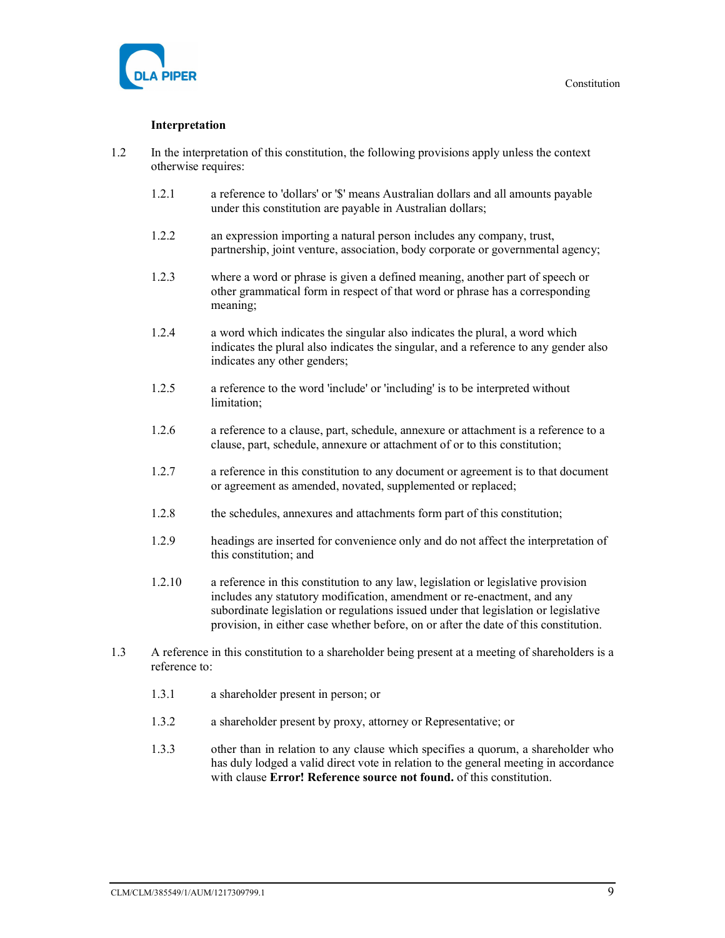



# Interpretation

- 1.2 In the interpretation of this constitution, the following provisions apply unless the context otherwise requires:
	- 1.2.1 a reference to 'dollars' or '\$' means Australian dollars and all amounts payable under this constitution are payable in Australian dollars;
	- 1.2.2 an expression importing a natural person includes any company, trust, partnership, joint venture, association, body corporate or governmental agency;
	- 1.2.3 where a word or phrase is given a defined meaning, another part of speech or other grammatical form in respect of that word or phrase has a corresponding meaning;
	- 1.2.4 a word which indicates the singular also indicates the plural, a word which indicates the plural also indicates the singular, and a reference to any gender also indicates any other genders;
	- 1.2.5 a reference to the word 'include' or 'including' is to be interpreted without limitation;
	- 1.2.6 a reference to a clause, part, schedule, annexure or attachment is a reference to a clause, part, schedule, annexure or attachment of or to this constitution;
	- 1.2.7 a reference in this constitution to any document or agreement is to that document or agreement as amended, novated, supplemented or replaced;
	- 1.2.8 the schedules, annexures and attachments form part of this constitution;
	- 1.2.9 headings are inserted for convenience only and do not affect the interpretation of this constitution; and
	- 1.2.10 a reference in this constitution to any law, legislation or legislative provision includes any statutory modification, amendment or re-enactment, and any subordinate legislation or regulations issued under that legislation or legislative provision, in either case whether before, on or after the date of this constitution.
- 1.3 A reference in this constitution to a shareholder being present at a meeting of shareholders is a reference to:
	- 1.3.1 a shareholder present in person; or
	- 1.3.2 a shareholder present by proxy, attorney or Representative; or
	- 1.3.3 other than in relation to any clause which specifies a quorum, a shareholder who has duly lodged a valid direct vote in relation to the general meeting in accordance with clause **Error! Reference source not found.** of this constitution.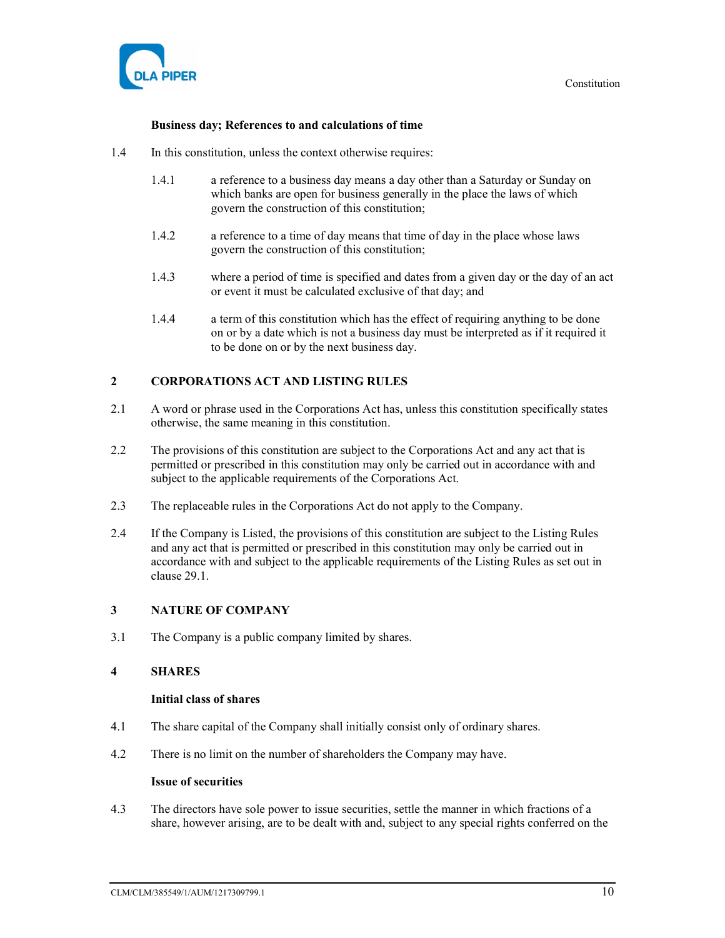

#### Business day; References to and calculations of time

- 1.4 In this constitution, unless the context otherwise requires:
	- 1.4.1 a reference to a business day means a day other than a Saturday or Sunday on which banks are open for business generally in the place the laws of which govern the construction of this constitution;
	- 1.4.2 a reference to a time of day means that time of day in the place whose laws govern the construction of this constitution;
	- 1.4.3 where a period of time is specified and dates from a given day or the day of an act or event it must be calculated exclusive of that day; and
	- 1.4.4 a term of this constitution which has the effect of requiring anything to be done on or by a date which is not a business day must be interpreted as if it required it to be done on or by the next business day.

# 2 CORPORATIONS ACT AND LISTING RULES

- 2.1 A word or phrase used in the Corporations Act has, unless this constitution specifically states otherwise, the same meaning in this constitution.
- 2.2 The provisions of this constitution are subject to the Corporations Act and any act that is permitted or prescribed in this constitution may only be carried out in accordance with and subject to the applicable requirements of the Corporations Act.
- 2.3 The replaceable rules in the Corporations Act do not apply to the Company.
- 2.4 If the Company is Listed, the provisions of this constitution are subject to the Listing Rules and any act that is permitted or prescribed in this constitution may only be carried out in accordance with and subject to the applicable requirements of the Listing Rules as set out in clause 29.1.

#### 3 NATURE OF COMPANY

3.1 The Company is a public company limited by shares.

# 4 SHARES

#### Initial class of shares

- 4.1 The share capital of the Company shall initially consist only of ordinary shares.
- 4.2 There is no limit on the number of shareholders the Company may have.

#### Issue of securities

4.3 The directors have sole power to issue securities, settle the manner in which fractions of a share, however arising, are to be dealt with and, subject to any special rights conferred on the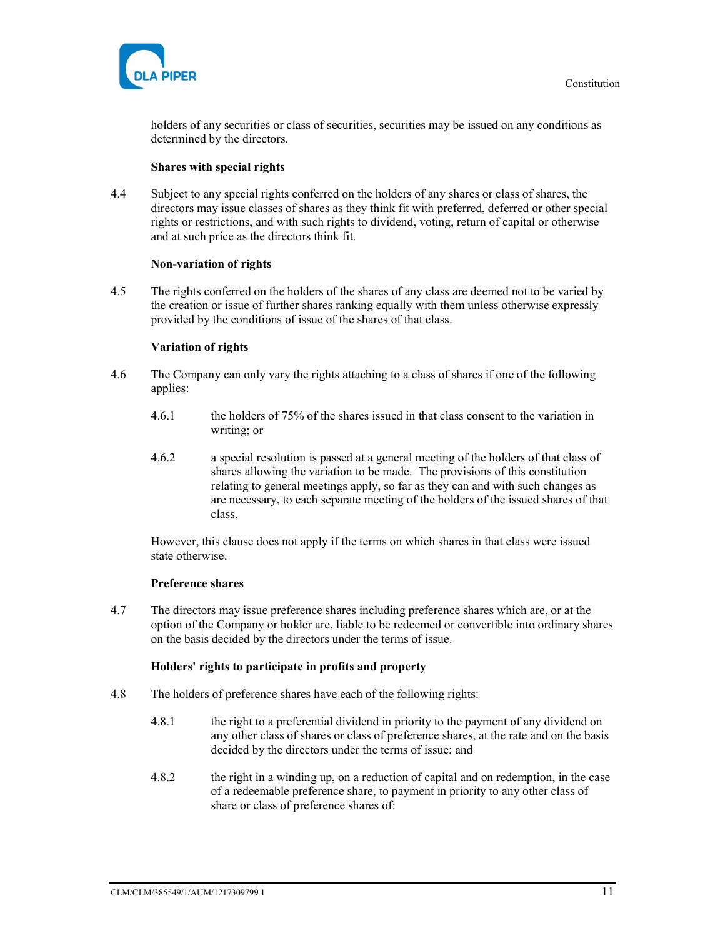

holders of any securities or class of securities, securities may be issued on any conditions as determined by the directors.

# Shares with special rights

4.4 Subject to any special rights conferred on the holders of any shares or class of shares, the directors may issue classes of shares as they think fit with preferred, deferred or other special rights or restrictions, and with such rights to dividend, voting, return of capital or otherwise and at such price as the directors think fit.

# Non-variation of rights

4.5 The rights conferred on the holders of the shares of any class are deemed not to be varied by the creation or issue of further shares ranking equally with them unless otherwise expressly provided by the conditions of issue of the shares of that class.

# Variation of rights

- 4.6 The Company can only vary the rights attaching to a class of shares if one of the following applies:
	- 4.6.1 the holders of 75% of the shares issued in that class consent to the variation in writing; or
	- 4.6.2 a special resolution is passed at a general meeting of the holders of that class of shares allowing the variation to be made. The provisions of this constitution relating to general meetings apply, so far as they can and with such changes as are necessary, to each separate meeting of the holders of the issued shares of that class.

However, this clause does not apply if the terms on which shares in that class were issued state otherwise.

#### Preference shares

4.7 The directors may issue preference shares including preference shares which are, or at the option of the Company or holder are, liable to be redeemed or convertible into ordinary shares on the basis decided by the directors under the terms of issue.

#### Holders' rights to participate in profits and property

- 4.8 The holders of preference shares have each of the following rights:
	- 4.8.1 the right to a preferential dividend in priority to the payment of any dividend on any other class of shares or class of preference shares, at the rate and on the basis decided by the directors under the terms of issue; and
	- 4.8.2 the right in a winding up, on a reduction of capital and on redemption, in the case of a redeemable preference share, to payment in priority to any other class of share or class of preference shares of: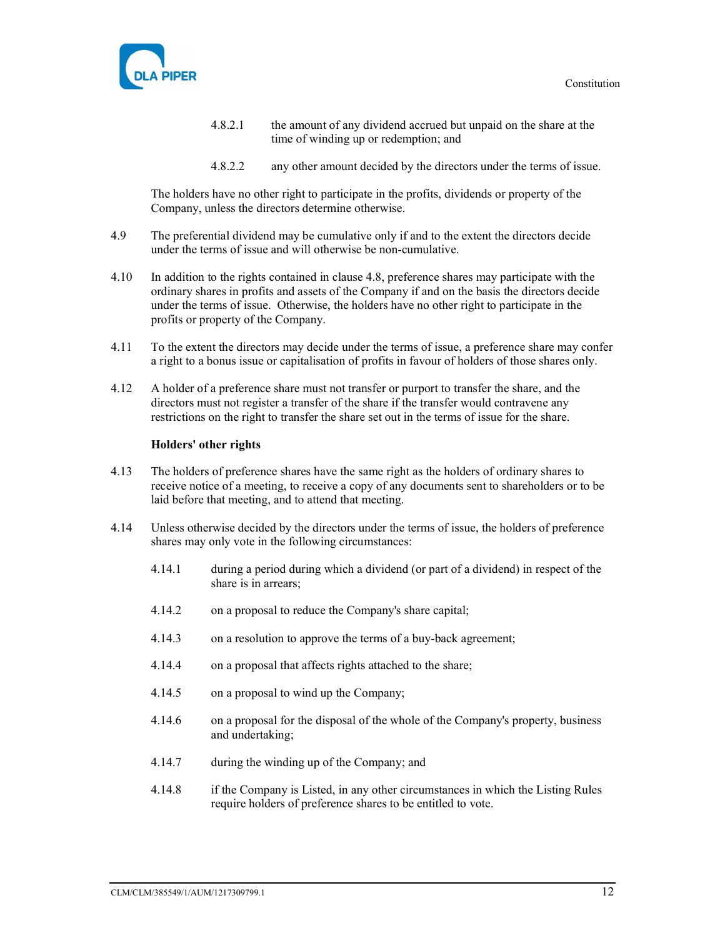

- 4.8.2.1 the amount of any dividend accrued but unpaid on the share at the time of winding up or redemption; and
- 4.8.2.2 any other amount decided by the directors under the terms of issue.

The holders have no other right to participate in the profits, dividends or property of the Company, unless the directors determine otherwise.

- 4.9 The preferential dividend may be cumulative only if and to the extent the directors decide under the terms of issue and will otherwise be non-cumulative.
- 4.10 In addition to the rights contained in clause 4.8, preference shares may participate with the ordinary shares in profits and assets of the Company if and on the basis the directors decide under the terms of issue. Otherwise, the holders have no other right to participate in the profits or property of the Company.
- 4.11 To the extent the directors may decide under the terms of issue, a preference share may confer a right to a bonus issue or capitalisation of profits in favour of holders of those shares only.
- 4.12 A holder of a preference share must not transfer or purport to transfer the share, and the directors must not register a transfer of the share if the transfer would contravene any restrictions on the right to transfer the share set out in the terms of issue for the share.

#### Holders' other rights

- 4.13 The holders of preference shares have the same right as the holders of ordinary shares to receive notice of a meeting, to receive a copy of any documents sent to shareholders or to be laid before that meeting, and to attend that meeting.
- 4.14 Unless otherwise decided by the directors under the terms of issue, the holders of preference shares may only vote in the following circumstances:
	- 4.14.1 during a period during which a dividend (or part of a dividend) in respect of the share is in arrears;
	- 4.14.2 on a proposal to reduce the Company's share capital;
	- 4.14.3 on a resolution to approve the terms of a buy-back agreement;
	- 4.14.4 on a proposal that affects rights attached to the share;
	- 4.14.5 on a proposal to wind up the Company;
	- 4.14.6 on a proposal for the disposal of the whole of the Company's property, business and undertaking;
	- 4.14.7 during the winding up of the Company; and
	- 4.14.8 if the Company is Listed, in any other circumstances in which the Listing Rules require holders of preference shares to be entitled to vote.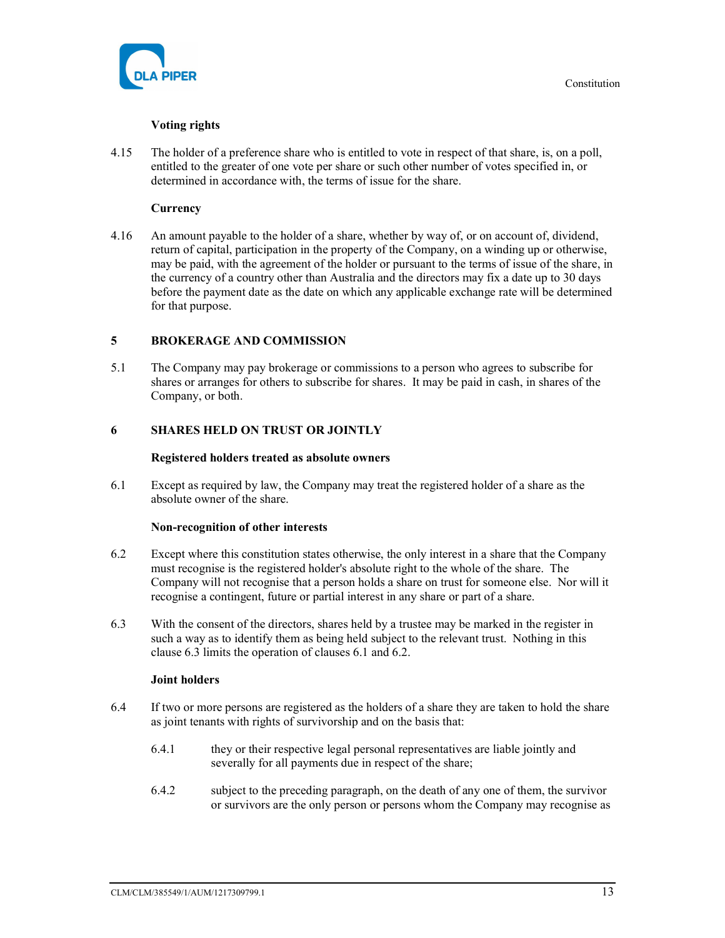

# Voting rights

4.15 The holder of a preference share who is entitled to vote in respect of that share, is, on a poll, entitled to the greater of one vote per share or such other number of votes specified in, or determined in accordance with, the terms of issue for the share.

# **Currency**

4.16 An amount payable to the holder of a share, whether by way of, or on account of, dividend, return of capital, participation in the property of the Company, on a winding up or otherwise, may be paid, with the agreement of the holder or pursuant to the terms of issue of the share, in the currency of a country other than Australia and the directors may fix a date up to 30 days before the payment date as the date on which any applicable exchange rate will be determined for that purpose.

# 5 BROKERAGE AND COMMISSION

5.1 The Company may pay brokerage or commissions to a person who agrees to subscribe for shares or arranges for others to subscribe for shares. It may be paid in cash, in shares of the Company, or both.

# 6 SHARES HELD ON TRUST OR JOINTLY

#### Registered holders treated as absolute owners

6.1 Except as required by law, the Company may treat the registered holder of a share as the absolute owner of the share.

#### Non-recognition of other interests

- 6.2 Except where this constitution states otherwise, the only interest in a share that the Company must recognise is the registered holder's absolute right to the whole of the share. The Company will not recognise that a person holds a share on trust for someone else. Nor will it recognise a contingent, future or partial interest in any share or part of a share.
- 6.3 With the consent of the directors, shares held by a trustee may be marked in the register in such a way as to identify them as being held subject to the relevant trust. Nothing in this clause 6.3 limits the operation of clauses 6.1 and 6.2.

#### Joint holders

- 6.4 If two or more persons are registered as the holders of a share they are taken to hold the share as joint tenants with rights of survivorship and on the basis that:
	- 6.4.1 they or their respective legal personal representatives are liable jointly and severally for all payments due in respect of the share;
	- 6.4.2 subject to the preceding paragraph, on the death of any one of them, the survivor or survivors are the only person or persons whom the Company may recognise as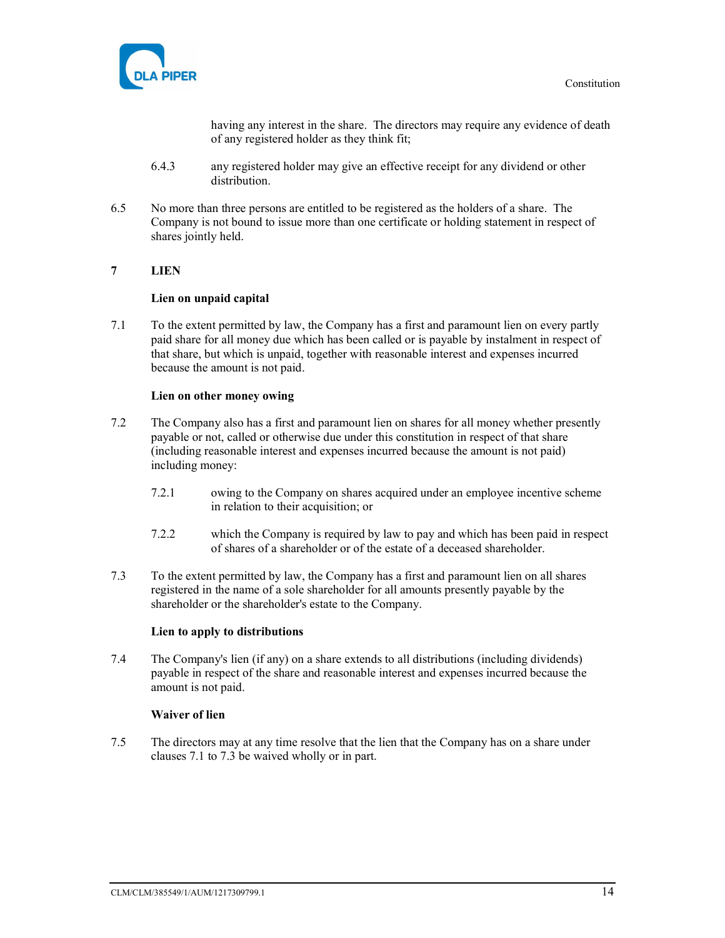

having any interest in the share. The directors may require any evidence of death of any registered holder as they think fit;

- 6.4.3 any registered holder may give an effective receipt for any dividend or other distribution.
- 6.5 No more than three persons are entitled to be registered as the holders of a share. The Company is not bound to issue more than one certificate or holding statement in respect of shares jointly held.

# 7 LIEN

#### Lien on unpaid capital

7.1 To the extent permitted by law, the Company has a first and paramount lien on every partly paid share for all money due which has been called or is payable by instalment in respect of that share, but which is unpaid, together with reasonable interest and expenses incurred because the amount is not paid.

#### Lien on other money owing

- 7.2 The Company also has a first and paramount lien on shares for all money whether presently payable or not, called or otherwise due under this constitution in respect of that share (including reasonable interest and expenses incurred because the amount is not paid) including money:
	- 7.2.1 owing to the Company on shares acquired under an employee incentive scheme in relation to their acquisition; or
	- 7.2.2 which the Company is required by law to pay and which has been paid in respect of shares of a shareholder or of the estate of a deceased shareholder.
- 7.3 To the extent permitted by law, the Company has a first and paramount lien on all shares registered in the name of a sole shareholder for all amounts presently payable by the shareholder or the shareholder's estate to the Company.

#### Lien to apply to distributions

7.4 The Company's lien (if any) on a share extends to all distributions (including dividends) payable in respect of the share and reasonable interest and expenses incurred because the amount is not paid.

#### Waiver of lien

7.5 The directors may at any time resolve that the lien that the Company has on a share under clauses 7.1 to 7.3 be waived wholly or in part.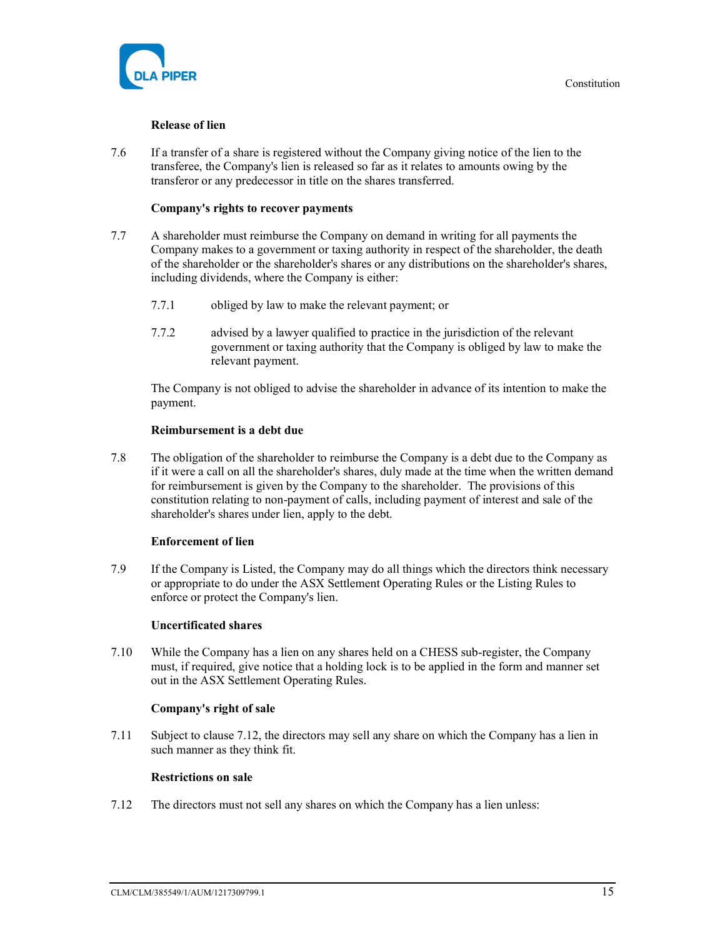

#### Release of lien

7.6 If a transfer of a share is registered without the Company giving notice of the lien to the transferee, the Company's lien is released so far as it relates to amounts owing by the transferor or any predecessor in title on the shares transferred.

#### Company's rights to recover payments

- 7.7 A shareholder must reimburse the Company on demand in writing for all payments the Company makes to a government or taxing authority in respect of the shareholder, the death of the shareholder or the shareholder's shares or any distributions on the shareholder's shares, including dividends, where the Company is either:
	- 7.7.1 obliged by law to make the relevant payment; or
	- 7.7.2 advised by a lawyer qualified to practice in the jurisdiction of the relevant government or taxing authority that the Company is obliged by law to make the relevant payment.

The Company is not obliged to advise the shareholder in advance of its intention to make the payment.

#### Reimbursement is a debt due

7.8 The obligation of the shareholder to reimburse the Company is a debt due to the Company as if it were a call on all the shareholder's shares, duly made at the time when the written demand for reimbursement is given by the Company to the shareholder. The provisions of this constitution relating to non-payment of calls, including payment of interest and sale of the shareholder's shares under lien, apply to the debt.

#### Enforcement of lien

7.9 If the Company is Listed, the Company may do all things which the directors think necessary or appropriate to do under the ASX Settlement Operating Rules or the Listing Rules to enforce or protect the Company's lien.

#### Uncertificated shares

7.10 While the Company has a lien on any shares held on a CHESS sub-register, the Company must, if required, give notice that a holding lock is to be applied in the form and manner set out in the ASX Settlement Operating Rules.

#### Company's right of sale

7.11 Subject to clause 7.12, the directors may sell any share on which the Company has a lien in such manner as they think fit.

#### Restrictions on sale

7.12 The directors must not sell any shares on which the Company has a lien unless: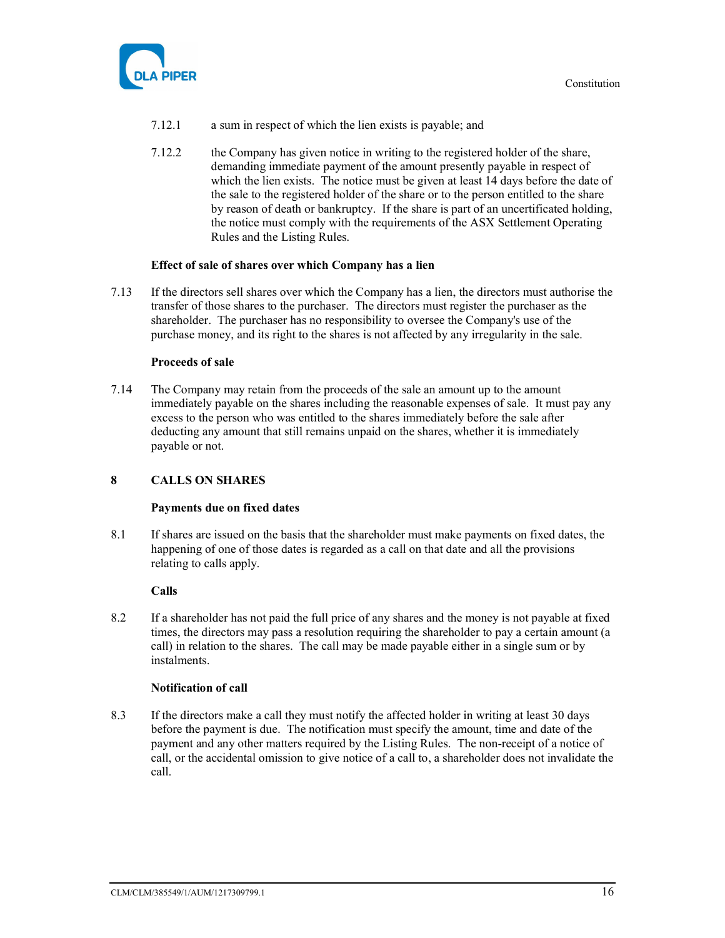



- 7.12.1 a sum in respect of which the lien exists is payable; and
- 7.12.2 the Company has given notice in writing to the registered holder of the share, demanding immediate payment of the amount presently payable in respect of which the lien exists. The notice must be given at least 14 days before the date of the sale to the registered holder of the share or to the person entitled to the share by reason of death or bankruptcy. If the share is part of an uncertificated holding, the notice must comply with the requirements of the ASX Settlement Operating Rules and the Listing Rules.

#### Effect of sale of shares over which Company has a lien

7.13 If the directors sell shares over which the Company has a lien, the directors must authorise the transfer of those shares to the purchaser. The directors must register the purchaser as the shareholder. The purchaser has no responsibility to oversee the Company's use of the purchase money, and its right to the shares is not affected by any irregularity in the sale.

#### Proceeds of sale

7.14 The Company may retain from the proceeds of the sale an amount up to the amount immediately payable on the shares including the reasonable expenses of sale. It must pay any excess to the person who was entitled to the shares immediately before the sale after deducting any amount that still remains unpaid on the shares, whether it is immediately payable or not.

# 8 CALLS ON SHARES

#### Payments due on fixed dates

8.1 If shares are issued on the basis that the shareholder must make payments on fixed dates, the happening of one of those dates is regarded as a call on that date and all the provisions relating to calls apply.

#### Calls

8.2 If a shareholder has not paid the full price of any shares and the money is not payable at fixed times, the directors may pass a resolution requiring the shareholder to pay a certain amount (a call) in relation to the shares. The call may be made payable either in a single sum or by instalments.

#### Notification of call

8.3 If the directors make a call they must notify the affected holder in writing at least 30 days before the payment is due. The notification must specify the amount, time and date of the payment and any other matters required by the Listing Rules. The non-receipt of a notice of call, or the accidental omission to give notice of a call to, a shareholder does not invalidate the call.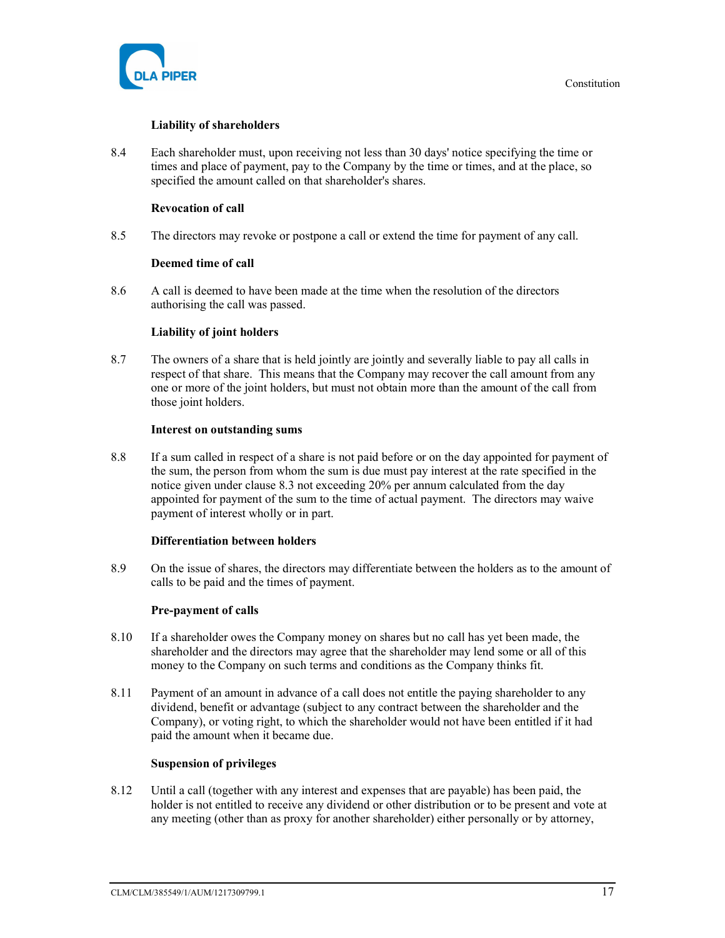

# Liability of shareholders

8.4 Each shareholder must, upon receiving not less than 30 days' notice specifying the time or times and place of payment, pay to the Company by the time or times, and at the place, so specified the amount called on that shareholder's shares.

# Revocation of call

8.5 The directors may revoke or postpone a call or extend the time for payment of any call.

# Deemed time of call

8.6 A call is deemed to have been made at the time when the resolution of the directors authorising the call was passed.

# Liability of joint holders

8.7 The owners of a share that is held jointly are jointly and severally liable to pay all calls in respect of that share. This means that the Company may recover the call amount from any one or more of the joint holders, but must not obtain more than the amount of the call from those joint holders.

# Interest on outstanding sums

8.8 If a sum called in respect of a share is not paid before or on the day appointed for payment of the sum, the person from whom the sum is due must pay interest at the rate specified in the notice given under clause 8.3 not exceeding 20% per annum calculated from the day appointed for payment of the sum to the time of actual payment. The directors may waive payment of interest wholly or in part.

# Differentiation between holders

8.9 On the issue of shares, the directors may differentiate between the holders as to the amount of calls to be paid and the times of payment.

# Pre-payment of calls

- 8.10 If a shareholder owes the Company money on shares but no call has yet been made, the shareholder and the directors may agree that the shareholder may lend some or all of this money to the Company on such terms and conditions as the Company thinks fit.
- 8.11 Payment of an amount in advance of a call does not entitle the paying shareholder to any dividend, benefit or advantage (subject to any contract between the shareholder and the Company), or voting right, to which the shareholder would not have been entitled if it had paid the amount when it became due.

# Suspension of privileges

8.12 Until a call (together with any interest and expenses that are payable) has been paid, the holder is not entitled to receive any dividend or other distribution or to be present and vote at any meeting (other than as proxy for another shareholder) either personally or by attorney,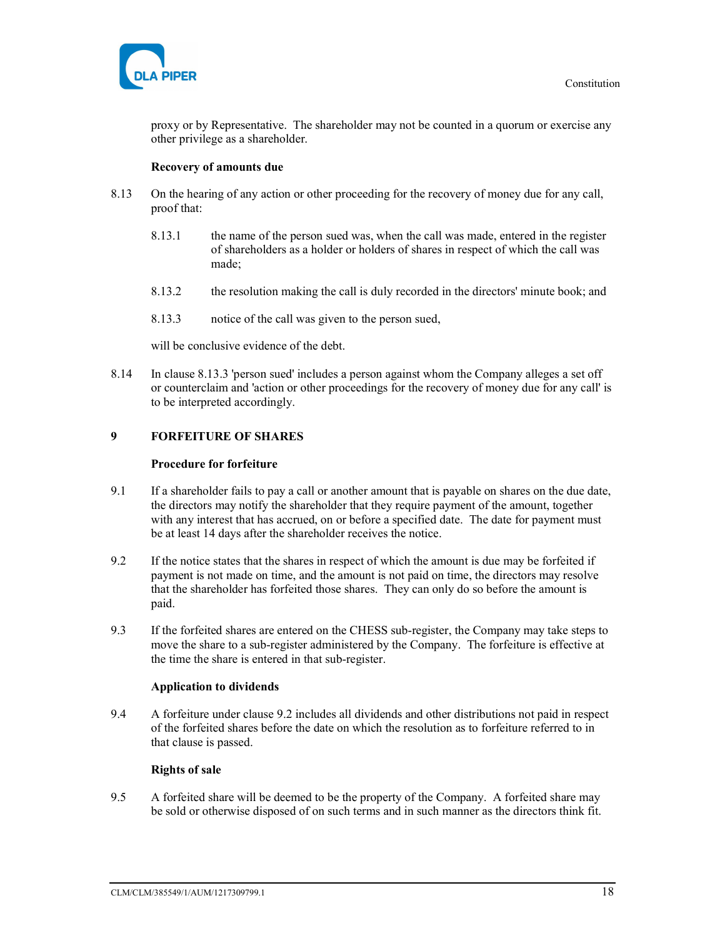

proxy or by Representative. The shareholder may not be counted in a quorum or exercise any other privilege as a shareholder.

# Recovery of amounts due

- 8.13 On the hearing of any action or other proceeding for the recovery of money due for any call, proof that:
	- 8.13.1 the name of the person sued was, when the call was made, entered in the register of shareholders as a holder or holders of shares in respect of which the call was made;
	- 8.13.2 the resolution making the call is duly recorded in the directors' minute book; and
	- 8.13.3 notice of the call was given to the person sued,

will be conclusive evidence of the debt.

8.14 In clause 8.13.3 'person sued' includes a person against whom the Company alleges a set off or counterclaim and 'action or other proceedings for the recovery of money due for any call' is to be interpreted accordingly.

# 9 FORFEITURE OF SHARES

#### Procedure for forfeiture

- 9.1 If a shareholder fails to pay a call or another amount that is payable on shares on the due date, the directors may notify the shareholder that they require payment of the amount, together with any interest that has accrued, on or before a specified date. The date for payment must be at least 14 days after the shareholder receives the notice.
- 9.2 If the notice states that the shares in respect of which the amount is due may be forfeited if payment is not made on time, and the amount is not paid on time, the directors may resolve that the shareholder has forfeited those shares. They can only do so before the amount is paid.
- 9.3 If the forfeited shares are entered on the CHESS sub-register, the Company may take steps to move the share to a sub-register administered by the Company. The forfeiture is effective at the time the share is entered in that sub-register.

#### Application to dividends

9.4 A forfeiture under clause 9.2 includes all dividends and other distributions not paid in respect of the forfeited shares before the date on which the resolution as to forfeiture referred to in that clause is passed.

## Rights of sale

9.5 A forfeited share will be deemed to be the property of the Company. A forfeited share may be sold or otherwise disposed of on such terms and in such manner as the directors think fit.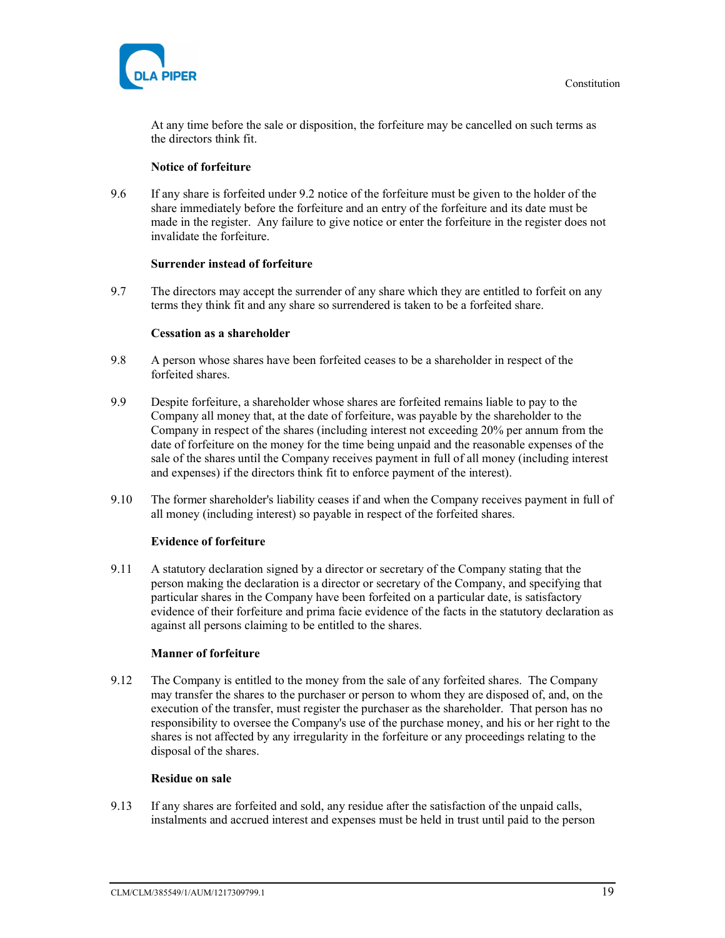

At any time before the sale or disposition, the forfeiture may be cancelled on such terms as the directors think fit.

# Notice of forfeiture

9.6 If any share is forfeited under 9.2 notice of the forfeiture must be given to the holder of the share immediately before the forfeiture and an entry of the forfeiture and its date must be made in the register. Any failure to give notice or enter the forfeiture in the register does not invalidate the forfeiture.

# Surrender instead of forfeiture

9.7 The directors may accept the surrender of any share which they are entitled to forfeit on any terms they think fit and any share so surrendered is taken to be a forfeited share.

#### Cessation as a shareholder

- 9.8 A person whose shares have been forfeited ceases to be a shareholder in respect of the forfeited shares.
- 9.9 Despite forfeiture, a shareholder whose shares are forfeited remains liable to pay to the Company all money that, at the date of forfeiture, was payable by the shareholder to the Company in respect of the shares (including interest not exceeding 20% per annum from the date of forfeiture on the money for the time being unpaid and the reasonable expenses of the sale of the shares until the Company receives payment in full of all money (including interest and expenses) if the directors think fit to enforce payment of the interest).
- 9.10 The former shareholder's liability ceases if and when the Company receives payment in full of all money (including interest) so payable in respect of the forfeited shares.

# Evidence of forfeiture

9.11 A statutory declaration signed by a director or secretary of the Company stating that the person making the declaration is a director or secretary of the Company, and specifying that particular shares in the Company have been forfeited on a particular date, is satisfactory evidence of their forfeiture and prima facie evidence of the facts in the statutory declaration as against all persons claiming to be entitled to the shares.

# Manner of forfeiture

9.12 The Company is entitled to the money from the sale of any forfeited shares. The Company may transfer the shares to the purchaser or person to whom they are disposed of, and, on the execution of the transfer, must register the purchaser as the shareholder. That person has no responsibility to oversee the Company's use of the purchase money, and his or her right to the shares is not affected by any irregularity in the forfeiture or any proceedings relating to the disposal of the shares.

#### Residue on sale

9.13 If any shares are forfeited and sold, any residue after the satisfaction of the unpaid calls, instalments and accrued interest and expenses must be held in trust until paid to the person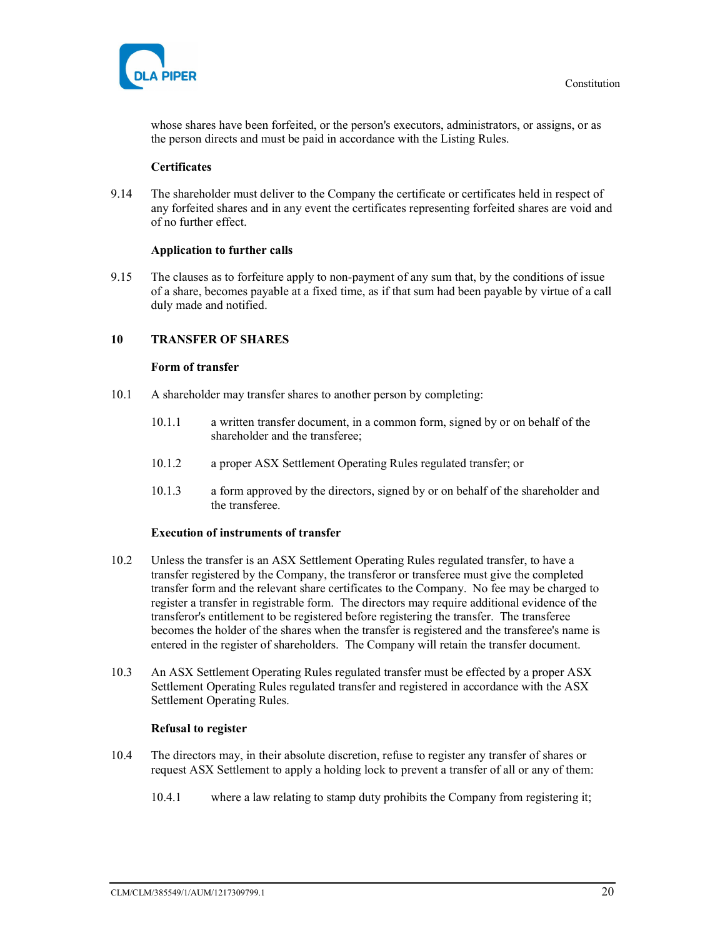whose shares have been forfeited, or the person's executors, administrators, or assigns, or as the person directs and must be paid in accordance with the Listing Rules.

# **Certificates**

9.14 The shareholder must deliver to the Company the certificate or certificates held in respect of any forfeited shares and in any event the certificates representing forfeited shares are void and of no further effect.

# Application to further calls

9.15 The clauses as to forfeiture apply to non-payment of any sum that, by the conditions of issue of a share, becomes payable at a fixed time, as if that sum had been payable by virtue of a call duly made and notified.

# 10 TRANSFER OF SHARES

#### Form of transfer

- 10.1 A shareholder may transfer shares to another person by completing:
	- 10.1.1 a written transfer document, in a common form, signed by or on behalf of the shareholder and the transferee;
	- 10.1.2 a proper ASX Settlement Operating Rules regulated transfer; or
	- 10.1.3 a form approved by the directors, signed by or on behalf of the shareholder and the transferee.

#### Execution of instruments of transfer

- 10.2 Unless the transfer is an ASX Settlement Operating Rules regulated transfer, to have a transfer registered by the Company, the transferor or transferee must give the completed transfer form and the relevant share certificates to the Company. No fee may be charged to register a transfer in registrable form. The directors may require additional evidence of the transferor's entitlement to be registered before registering the transfer. The transferee becomes the holder of the shares when the transfer is registered and the transferee's name is entered in the register of shareholders. The Company will retain the transfer document.
- 10.3 An ASX Settlement Operating Rules regulated transfer must be effected by a proper ASX Settlement Operating Rules regulated transfer and registered in accordance with the ASX Settlement Operating Rules.

#### Refusal to register

- 10.4 The directors may, in their absolute discretion, refuse to register any transfer of shares or request ASX Settlement to apply a holding lock to prevent a transfer of all or any of them:
	- 10.4.1 where a law relating to stamp duty prohibits the Company from registering it;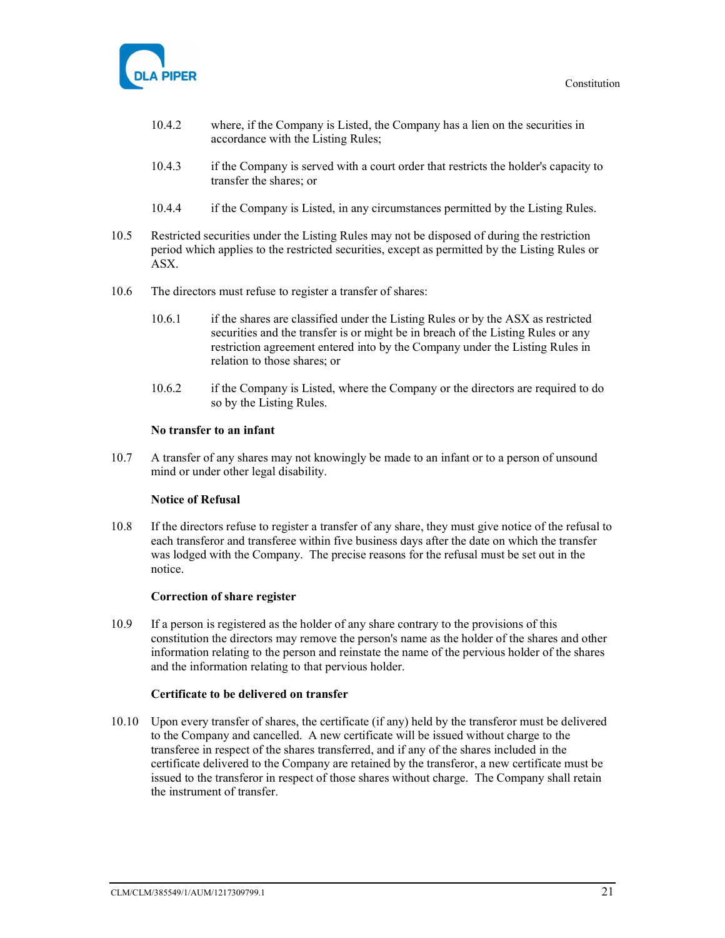

- 10.4.2 where, if the Company is Listed, the Company has a lien on the securities in accordance with the Listing Rules;
- 10.4.3 if the Company is served with a court order that restricts the holder's capacity to transfer the shares; or
- 10.4.4 if the Company is Listed, in any circumstances permitted by the Listing Rules.
- 10.5 Restricted securities under the Listing Rules may not be disposed of during the restriction period which applies to the restricted securities, except as permitted by the Listing Rules or ASX.
- 10.6 The directors must refuse to register a transfer of shares:
	- 10.6.1 if the shares are classified under the Listing Rules or by the ASX as restricted securities and the transfer is or might be in breach of the Listing Rules or any restriction agreement entered into by the Company under the Listing Rules in relation to those shares; or
	- 10.6.2 if the Company is Listed, where the Company or the directors are required to do so by the Listing Rules.

#### No transfer to an infant

10.7 A transfer of any shares may not knowingly be made to an infant or to a person of unsound mind or under other legal disability.

#### Notice of Refusal

10.8 If the directors refuse to register a transfer of any share, they must give notice of the refusal to each transferor and transferee within five business days after the date on which the transfer was lodged with the Company. The precise reasons for the refusal must be set out in the notice.

#### Correction of share register

10.9 If a person is registered as the holder of any share contrary to the provisions of this constitution the directors may remove the person's name as the holder of the shares and other information relating to the person and reinstate the name of the pervious holder of the shares and the information relating to that pervious holder.

#### Certificate to be delivered on transfer

10.10 Upon every transfer of shares, the certificate (if any) held by the transferor must be delivered to the Company and cancelled. A new certificate will be issued without charge to the transferee in respect of the shares transferred, and if any of the shares included in the certificate delivered to the Company are retained by the transferor, a new certificate must be issued to the transferor in respect of those shares without charge. The Company shall retain the instrument of transfer.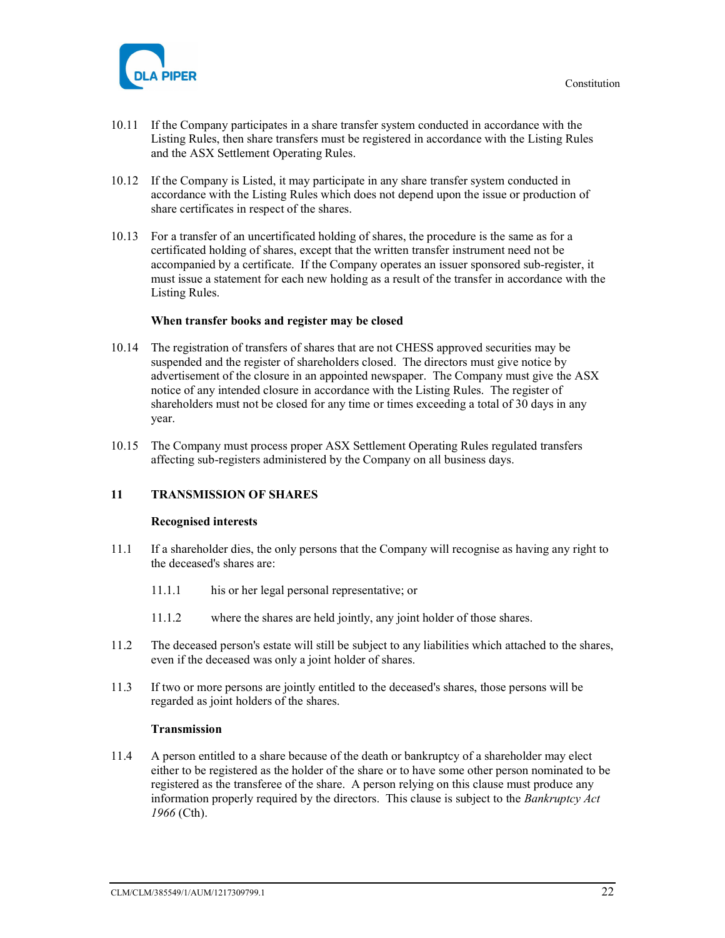

- 10.11 If the Company participates in a share transfer system conducted in accordance with the Listing Rules, then share transfers must be registered in accordance with the Listing Rules and the ASX Settlement Operating Rules.
- 10.12 If the Company is Listed, it may participate in any share transfer system conducted in accordance with the Listing Rules which does not depend upon the issue or production of share certificates in respect of the shares.
- 10.13 For a transfer of an uncertificated holding of shares, the procedure is the same as for a certificated holding of shares, except that the written transfer instrument need not be accompanied by a certificate. If the Company operates an issuer sponsored sub-register, it must issue a statement for each new holding as a result of the transfer in accordance with the Listing Rules.

#### When transfer books and register may be closed

- 10.14 The registration of transfers of shares that are not CHESS approved securities may be suspended and the register of shareholders closed. The directors must give notice by advertisement of the closure in an appointed newspaper. The Company must give the ASX notice of any intended closure in accordance with the Listing Rules. The register of shareholders must not be closed for any time or times exceeding a total of 30 days in any year.
- 10.15 The Company must process proper ASX Settlement Operating Rules regulated transfers affecting sub-registers administered by the Company on all business days.

#### 11 TRANSMISSION OF SHARES

#### Recognised interests

- 11.1 If a shareholder dies, the only persons that the Company will recognise as having any right to the deceased's shares are:
	- 11.1.1 his or her legal personal representative; or
	- 11.1.2 where the shares are held jointly, any joint holder of those shares.
- 11.2 The deceased person's estate will still be subject to any liabilities which attached to the shares, even if the deceased was only a joint holder of shares.
- 11.3 If two or more persons are jointly entitled to the deceased's shares, those persons will be regarded as joint holders of the shares.

#### Transmission

11.4 A person entitled to a share because of the death or bankruptcy of a shareholder may elect either to be registered as the holder of the share or to have some other person nominated to be registered as the transferee of the share. A person relying on this clause must produce any information properly required by the directors. This clause is subject to the Bankruptcy Act 1966 (Cth).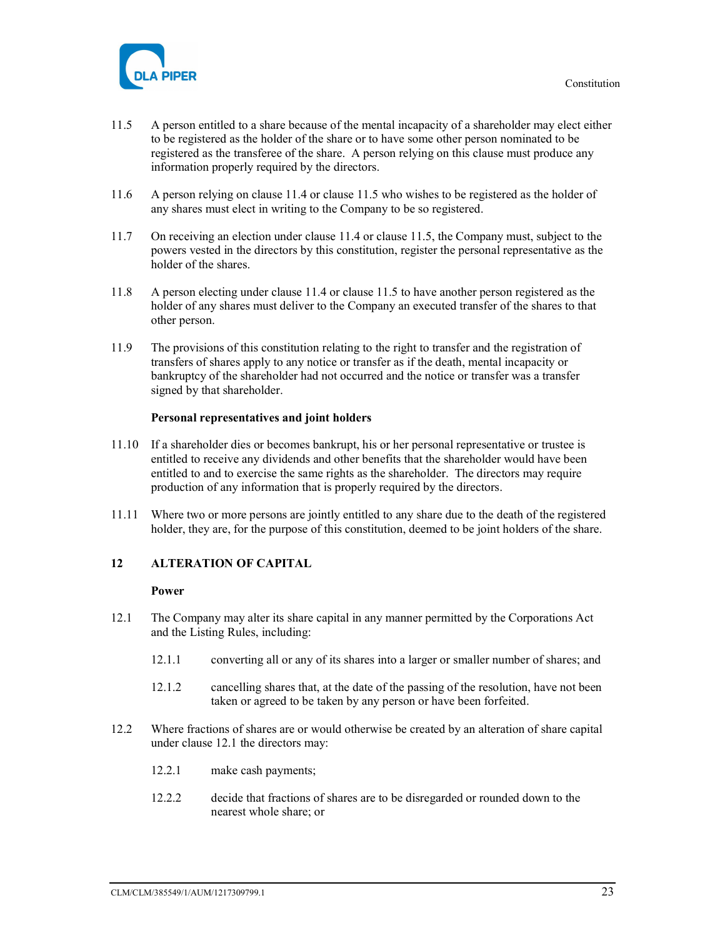

- 11.5 A person entitled to a share because of the mental incapacity of a shareholder may elect either to be registered as the holder of the share or to have some other person nominated to be registered as the transferee of the share. A person relying on this clause must produce any information properly required by the directors.
- 11.6 A person relying on clause 11.4 or clause 11.5 who wishes to be registered as the holder of any shares must elect in writing to the Company to be so registered.
- 11.7 On receiving an election under clause 11.4 or clause 11.5, the Company must, subject to the powers vested in the directors by this constitution, register the personal representative as the holder of the shares.
- 11.8 A person electing under clause 11.4 or clause 11.5 to have another person registered as the holder of any shares must deliver to the Company an executed transfer of the shares to that other person.
- 11.9 The provisions of this constitution relating to the right to transfer and the registration of transfers of shares apply to any notice or transfer as if the death, mental incapacity or bankruptcy of the shareholder had not occurred and the notice or transfer was a transfer signed by that shareholder.

#### Personal representatives and joint holders

- 11.10 If a shareholder dies or becomes bankrupt, his or her personal representative or trustee is entitled to receive any dividends and other benefits that the shareholder would have been entitled to and to exercise the same rights as the shareholder. The directors may require production of any information that is properly required by the directors.
- 11.11 Where two or more persons are jointly entitled to any share due to the death of the registered holder, they are, for the purpose of this constitution, deemed to be joint holders of the share.

#### 12 ALTERATION OF CAPITAL

#### Power

- 12.1 The Company may alter its share capital in any manner permitted by the Corporations Act and the Listing Rules, including:
	- 12.1.1 converting all or any of its shares into a larger or smaller number of shares; and
	- 12.1.2 cancelling shares that, at the date of the passing of the resolution, have not been taken or agreed to be taken by any person or have been forfeited.
- 12.2 Where fractions of shares are or would otherwise be created by an alteration of share capital under clause 12.1 the directors may:
	- 12.2.1 make cash payments;
	- 12.2.2 decide that fractions of shares are to be disregarded or rounded down to the nearest whole share; or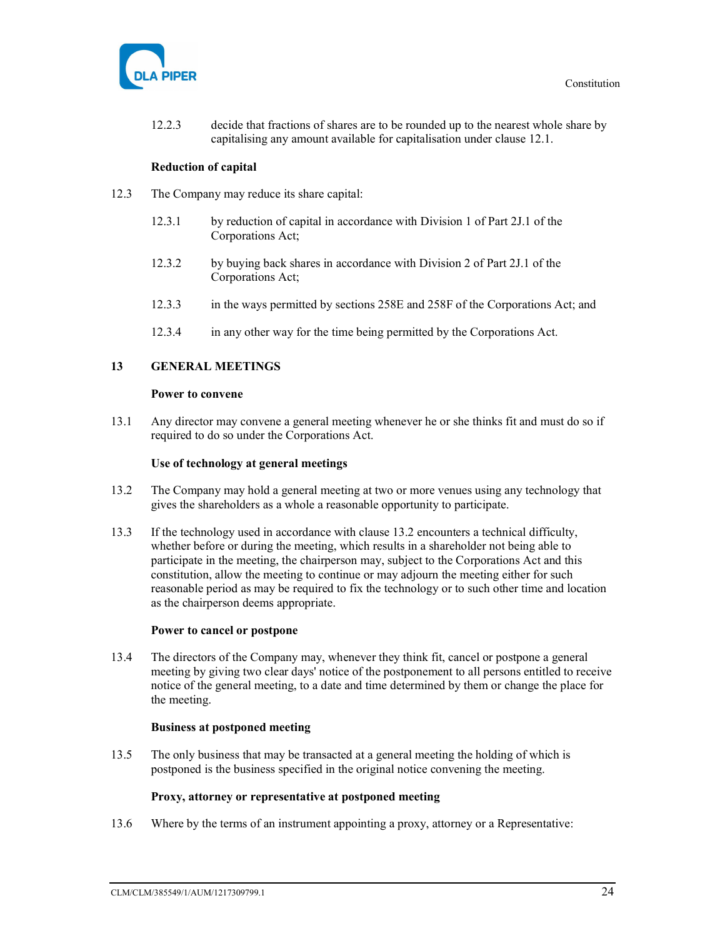

12.2.3 decide that fractions of shares are to be rounded up to the nearest whole share by capitalising any amount available for capitalisation under clause 12.1.

#### Reduction of capital

- 12.3 The Company may reduce its share capital:
	- 12.3.1 by reduction of capital in accordance with Division 1 of Part 2J.1 of the Corporations Act;
	- 12.3.2 by buying back shares in accordance with Division 2 of Part 2J.1 of the Corporations Act;
	- 12.3.3 in the ways permitted by sections 258E and 258F of the Corporations Act; and
	- 12.3.4 in any other way for the time being permitted by the Corporations Act.

# 13 GENERAL MEETINGS

#### Power to convene

13.1 Any director may convene a general meeting whenever he or she thinks fit and must do so if required to do so under the Corporations Act.

#### Use of technology at general meetings

- 13.2 The Company may hold a general meeting at two or more venues using any technology that gives the shareholders as a whole a reasonable opportunity to participate.
- 13.3 If the technology used in accordance with clause 13.2 encounters a technical difficulty, whether before or during the meeting, which results in a shareholder not being able to participate in the meeting, the chairperson may, subject to the Corporations Act and this constitution, allow the meeting to continue or may adjourn the meeting either for such reasonable period as may be required to fix the technology or to such other time and location as the chairperson deems appropriate.

#### Power to cancel or postpone

13.4 The directors of the Company may, whenever they think fit, cancel or postpone a general meeting by giving two clear days' notice of the postponement to all persons entitled to receive notice of the general meeting, to a date and time determined by them or change the place for the meeting.

#### Business at postponed meeting

13.5 The only business that may be transacted at a general meeting the holding of which is postponed is the business specified in the original notice convening the meeting.

#### Proxy, attorney or representative at postponed meeting

13.6 Where by the terms of an instrument appointing a proxy, attorney or a Representative: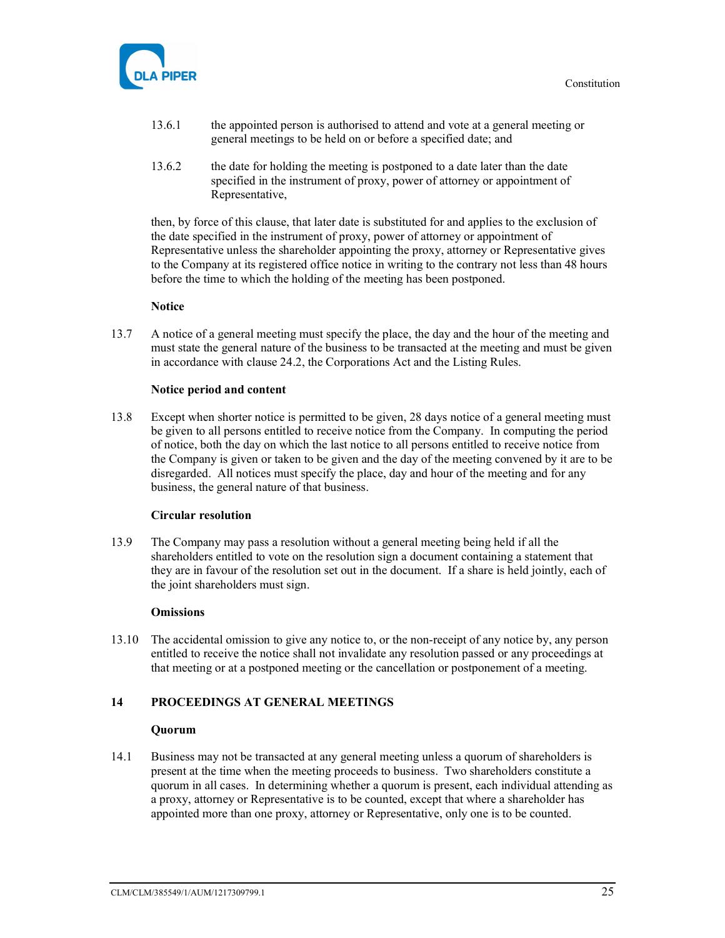

- 13.6.1 the appointed person is authorised to attend and vote at a general meeting or general meetings to be held on or before a specified date; and
- 13.6.2 the date for holding the meeting is postponed to a date later than the date specified in the instrument of proxy, power of attorney or appointment of Representative,

then, by force of this clause, that later date is substituted for and applies to the exclusion of the date specified in the instrument of proxy, power of attorney or appointment of Representative unless the shareholder appointing the proxy, attorney or Representative gives to the Company at its registered office notice in writing to the contrary not less than 48 hours before the time to which the holding of the meeting has been postponed.

#### **Notice**

13.7 A notice of a general meeting must specify the place, the day and the hour of the meeting and must state the general nature of the business to be transacted at the meeting and must be given in accordance with clause 24.2, the Corporations Act and the Listing Rules.

#### Notice period and content

13.8 Except when shorter notice is permitted to be given, 28 days notice of a general meeting must be given to all persons entitled to receive notice from the Company. In computing the period of notice, both the day on which the last notice to all persons entitled to receive notice from the Company is given or taken to be given and the day of the meeting convened by it are to be disregarded. All notices must specify the place, day and hour of the meeting and for any business, the general nature of that business.

#### Circular resolution

13.9 The Company may pass a resolution without a general meeting being held if all the shareholders entitled to vote on the resolution sign a document containing a statement that they are in favour of the resolution set out in the document. If a share is held jointly, each of the joint shareholders must sign.

# **Omissions**

13.10 The accidental omission to give any notice to, or the non-receipt of any notice by, any person entitled to receive the notice shall not invalidate any resolution passed or any proceedings at that meeting or at a postponed meeting or the cancellation or postponement of a meeting.

#### 14 PROCEEDINGS AT GENERAL MEETINGS

# Quorum

14.1 Business may not be transacted at any general meeting unless a quorum of shareholders is present at the time when the meeting proceeds to business. Two shareholders constitute a quorum in all cases. In determining whether a quorum is present, each individual attending as a proxy, attorney or Representative is to be counted, except that where a shareholder has appointed more than one proxy, attorney or Representative, only one is to be counted.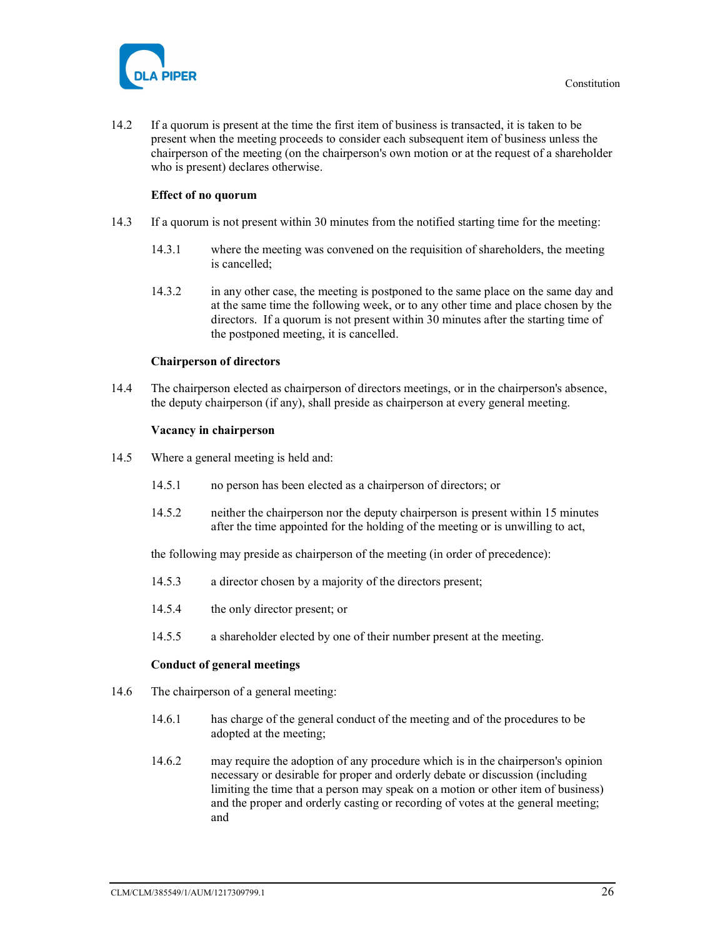

14.2 If a quorum is present at the time the first item of business is transacted, it is taken to be present when the meeting proceeds to consider each subsequent item of business unless the chairperson of the meeting (on the chairperson's own motion or at the request of a shareholder who is present) declares otherwise.

# Effect of no quorum

- 14.3 If a quorum is not present within 30 minutes from the notified starting time for the meeting:
	- 14.3.1 where the meeting was convened on the requisition of shareholders, the meeting is cancelled;
	- 14.3.2 in any other case, the meeting is postponed to the same place on the same day and at the same time the following week, or to any other time and place chosen by the directors. If a quorum is not present within 30 minutes after the starting time of the postponed meeting, it is cancelled.

#### Chairperson of directors

14.4 The chairperson elected as chairperson of directors meetings, or in the chairperson's absence, the deputy chairperson (if any), shall preside as chairperson at every general meeting.

#### Vacancy in chairperson

- 14.5 Where a general meeting is held and:
	- 14.5.1 no person has been elected as a chairperson of directors; or
	- 14.5.2 neither the chairperson nor the deputy chairperson is present within 15 minutes after the time appointed for the holding of the meeting or is unwilling to act,

the following may preside as chairperson of the meeting (in order of precedence):

- 14.5.3 a director chosen by a majority of the directors present;
- 14.5.4 the only director present; or
- 14.5.5 a shareholder elected by one of their number present at the meeting.

#### Conduct of general meetings

- 14.6 The chairperson of a general meeting:
	- 14.6.1 has charge of the general conduct of the meeting and of the procedures to be adopted at the meeting;
	- 14.6.2 may require the adoption of any procedure which is in the chairperson's opinion necessary or desirable for proper and orderly debate or discussion (including limiting the time that a person may speak on a motion or other item of business) and the proper and orderly casting or recording of votes at the general meeting; and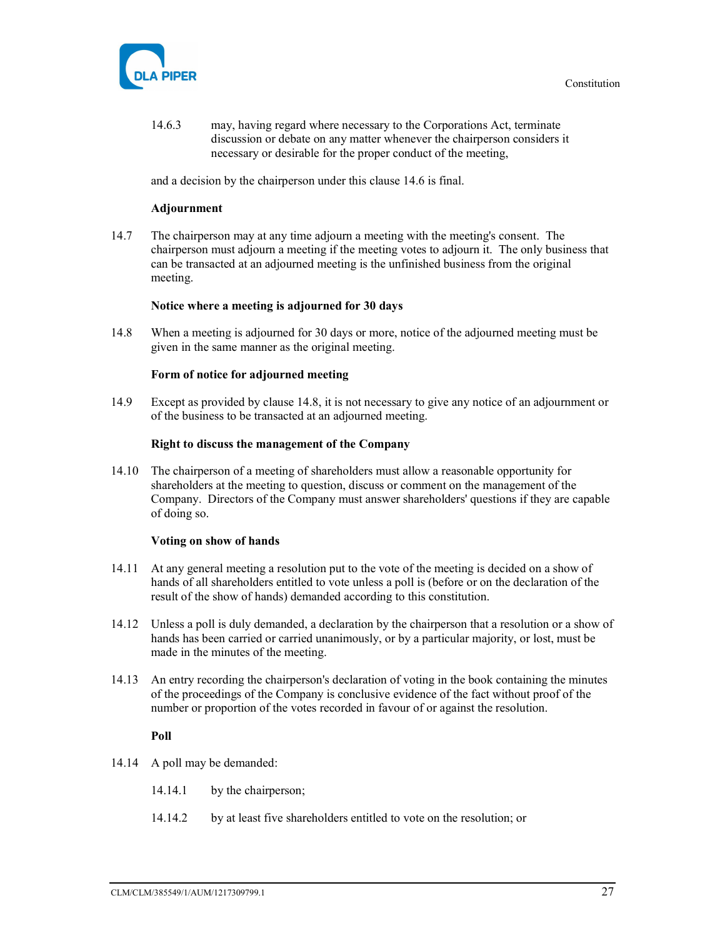

14.6.3 may, having regard where necessary to the Corporations Act, terminate discussion or debate on any matter whenever the chairperson considers it necessary or desirable for the proper conduct of the meeting,

and a decision by the chairperson under this clause 14.6 is final.

#### Adjournment

14.7 The chairperson may at any time adjourn a meeting with the meeting's consent. The chairperson must adjourn a meeting if the meeting votes to adjourn it. The only business that can be transacted at an adjourned meeting is the unfinished business from the original meeting.

# Notice where a meeting is adjourned for 30 days

14.8 When a meeting is adjourned for 30 days or more, notice of the adjourned meeting must be given in the same manner as the original meeting.

#### Form of notice for adjourned meeting

14.9 Except as provided by clause 14.8, it is not necessary to give any notice of an adjournment or of the business to be transacted at an adjourned meeting.

#### Right to discuss the management of the Company

14.10 The chairperson of a meeting of shareholders must allow a reasonable opportunity for shareholders at the meeting to question, discuss or comment on the management of the Company. Directors of the Company must answer shareholders' questions if they are capable of doing so.

#### Voting on show of hands

- 14.11 At any general meeting a resolution put to the vote of the meeting is decided on a show of hands of all shareholders entitled to vote unless a poll is (before or on the declaration of the result of the show of hands) demanded according to this constitution.
- 14.12 Unless a poll is duly demanded, a declaration by the chairperson that a resolution or a show of hands has been carried or carried unanimously, or by a particular majority, or lost, must be made in the minutes of the meeting.
- 14.13 An entry recording the chairperson's declaration of voting in the book containing the minutes of the proceedings of the Company is conclusive evidence of the fact without proof of the number or proportion of the votes recorded in favour of or against the resolution.

#### Poll

- 14.14 A poll may be demanded:
	- 14.14.1 by the chairperson;
	- 14.14.2 by at least five shareholders entitled to vote on the resolution; or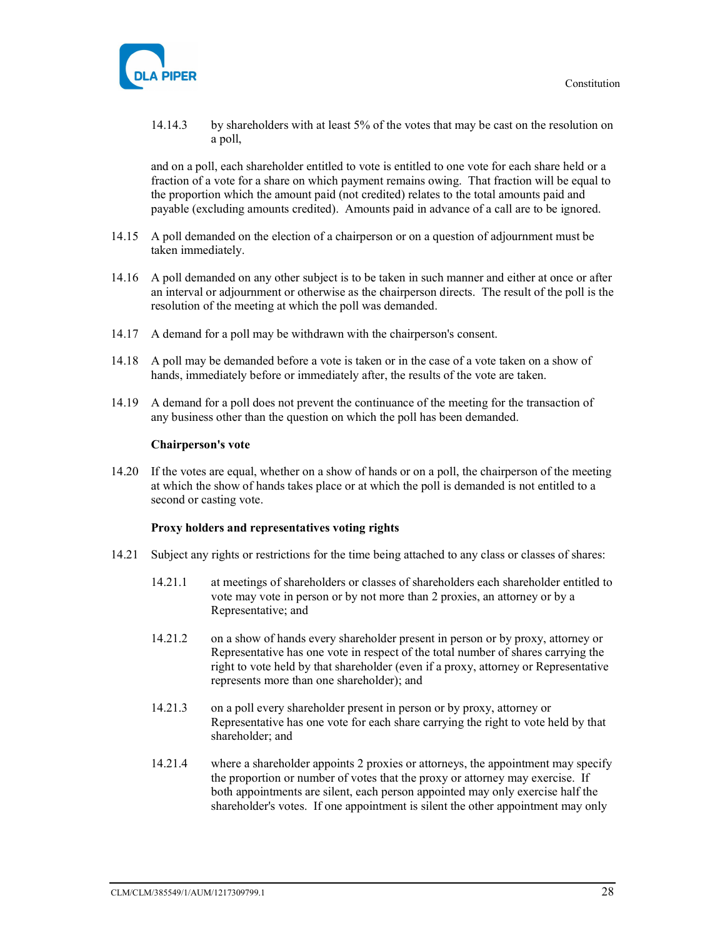

14.14.3 by shareholders with at least 5% of the votes that may be cast on the resolution on a poll,

and on a poll, each shareholder entitled to vote is entitled to one vote for each share held or a fraction of a vote for a share on which payment remains owing. That fraction will be equal to the proportion which the amount paid (not credited) relates to the total amounts paid and payable (excluding amounts credited). Amounts paid in advance of a call are to be ignored.

- 14.15 A poll demanded on the election of a chairperson or on a question of adjournment must be taken immediately.
- 14.16 A poll demanded on any other subject is to be taken in such manner and either at once or after an interval or adjournment or otherwise as the chairperson directs. The result of the poll is the resolution of the meeting at which the poll was demanded.
- 14.17 A demand for a poll may be withdrawn with the chairperson's consent.
- 14.18 A poll may be demanded before a vote is taken or in the case of a vote taken on a show of hands, immediately before or immediately after, the results of the vote are taken.
- 14.19 A demand for a poll does not prevent the continuance of the meeting for the transaction of any business other than the question on which the poll has been demanded.

#### Chairperson's vote

14.20 If the votes are equal, whether on a show of hands or on a poll, the chairperson of the meeting at which the show of hands takes place or at which the poll is demanded is not entitled to a second or casting vote.

#### Proxy holders and representatives voting rights

- 14.21 Subject any rights or restrictions for the time being attached to any class or classes of shares:
	- 14.21.1 at meetings of shareholders or classes of shareholders each shareholder entitled to vote may vote in person or by not more than 2 proxies, an attorney or by a Representative; and
	- 14.21.2 on a show of hands every shareholder present in person or by proxy, attorney or Representative has one vote in respect of the total number of shares carrying the right to vote held by that shareholder (even if a proxy, attorney or Representative represents more than one shareholder); and
	- 14.21.3 on a poll every shareholder present in person or by proxy, attorney or Representative has one vote for each share carrying the right to vote held by that shareholder; and
	- 14.21.4 where a shareholder appoints 2 proxies or attorneys, the appointment may specify the proportion or number of votes that the proxy or attorney may exercise. If both appointments are silent, each person appointed may only exercise half the shareholder's votes. If one appointment is silent the other appointment may only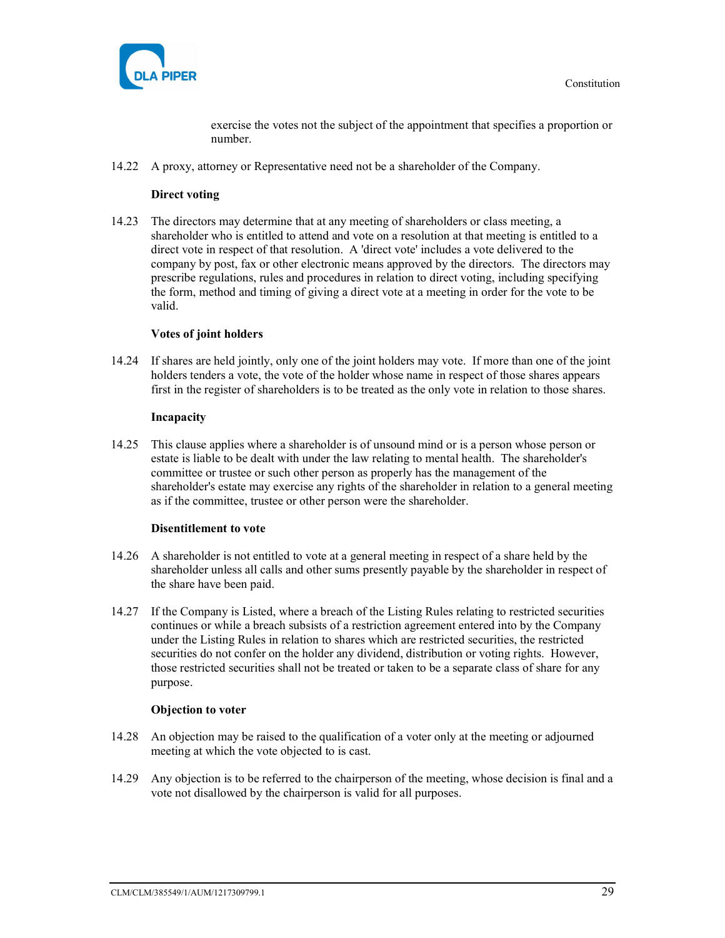

exercise the votes not the subject of the appointment that specifies a proportion or number.

14.22 A proxy, attorney or Representative need not be a shareholder of the Company.

#### Direct voting

14.23 The directors may determine that at any meeting of shareholders or class meeting, a shareholder who is entitled to attend and vote on a resolution at that meeting is entitled to a direct vote in respect of that resolution. A 'direct vote' includes a vote delivered to the company by post, fax or other electronic means approved by the directors. The directors may prescribe regulations, rules and procedures in relation to direct voting, including specifying the form, method and timing of giving a direct vote at a meeting in order for the vote to be valid.

#### Votes of joint holders

14.24 If shares are held jointly, only one of the joint holders may vote. If more than one of the joint holders tenders a vote, the vote of the holder whose name in respect of those shares appears first in the register of shareholders is to be treated as the only vote in relation to those shares.

#### Incapacity

14.25 This clause applies where a shareholder is of unsound mind or is a person whose person or estate is liable to be dealt with under the law relating to mental health. The shareholder's committee or trustee or such other person as properly has the management of the shareholder's estate may exercise any rights of the shareholder in relation to a general meeting as if the committee, trustee or other person were the shareholder.

#### Disentitlement to vote

- 14.26 A shareholder is not entitled to vote at a general meeting in respect of a share held by the shareholder unless all calls and other sums presently payable by the shareholder in respect of the share have been paid.
- 14.27 If the Company is Listed, where a breach of the Listing Rules relating to restricted securities continues or while a breach subsists of a restriction agreement entered into by the Company under the Listing Rules in relation to shares which are restricted securities, the restricted securities do not confer on the holder any dividend, distribution or voting rights. However, those restricted securities shall not be treated or taken to be a separate class of share for any purpose.

#### Objection to voter

- 14.28 An objection may be raised to the qualification of a voter only at the meeting or adjourned meeting at which the vote objected to is cast.
- 14.29 Any objection is to be referred to the chairperson of the meeting, whose decision is final and a vote not disallowed by the chairperson is valid for all purposes.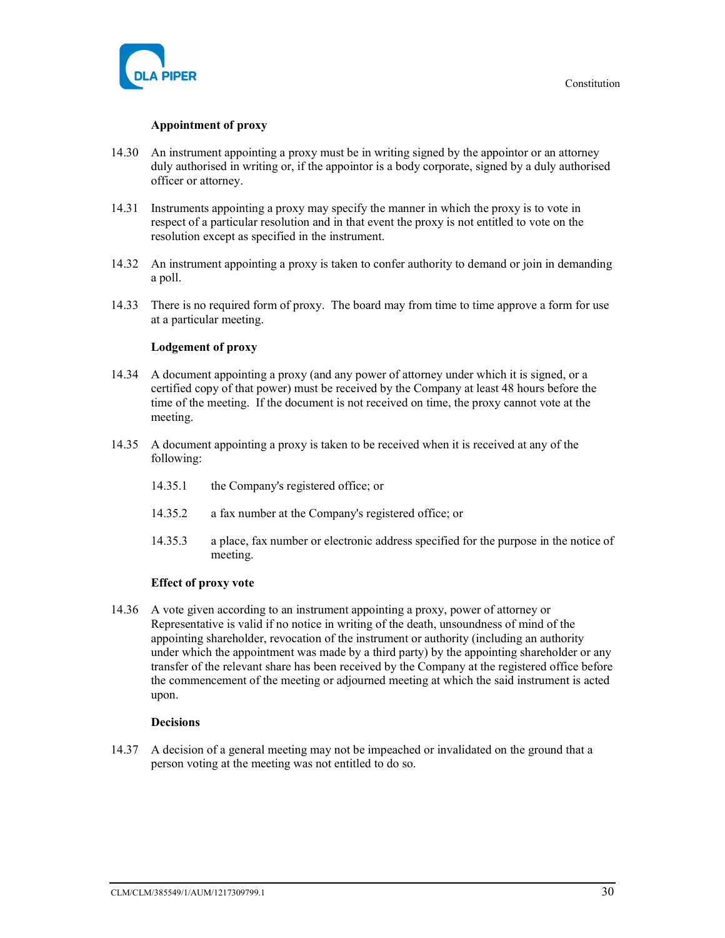

#### Appointment of proxy

- 14.30 An instrument appointing a proxy must be in writing signed by the appointor or an attorney duly authorised in writing or, if the appointor is a body corporate, signed by a duly authorised officer or attorney.
- 14.31 Instruments appointing a proxy may specify the manner in which the proxy is to vote in respect of a particular resolution and in that event the proxy is not entitled to vote on the resolution except as specified in the instrument.
- 14.32 An instrument appointing a proxy is taken to confer authority to demand or join in demanding a poll.
- 14.33 There is no required form of proxy. The board may from time to time approve a form for use at a particular meeting.

#### Lodgement of proxy

- 14.34 A document appointing a proxy (and any power of attorney under which it is signed, or a certified copy of that power) must be received by the Company at least 48 hours before the time of the meeting. If the document is not received on time, the proxy cannot vote at the meeting.
- 14.35 A document appointing a proxy is taken to be received when it is received at any of the following:
	- 14.35.1 the Company's registered office; or
	- 14.35.2 a fax number at the Company's registered office; or
	- 14.35.3 a place, fax number or electronic address specified for the purpose in the notice of meeting.

#### Effect of proxy vote

14.36 A vote given according to an instrument appointing a proxy, power of attorney or Representative is valid if no notice in writing of the death, unsoundness of mind of the appointing shareholder, revocation of the instrument or authority (including an authority under which the appointment was made by a third party) by the appointing shareholder or any transfer of the relevant share has been received by the Company at the registered office before the commencement of the meeting or adjourned meeting at which the said instrument is acted upon.

#### Decisions

14.37 A decision of a general meeting may not be impeached or invalidated on the ground that a person voting at the meeting was not entitled to do so.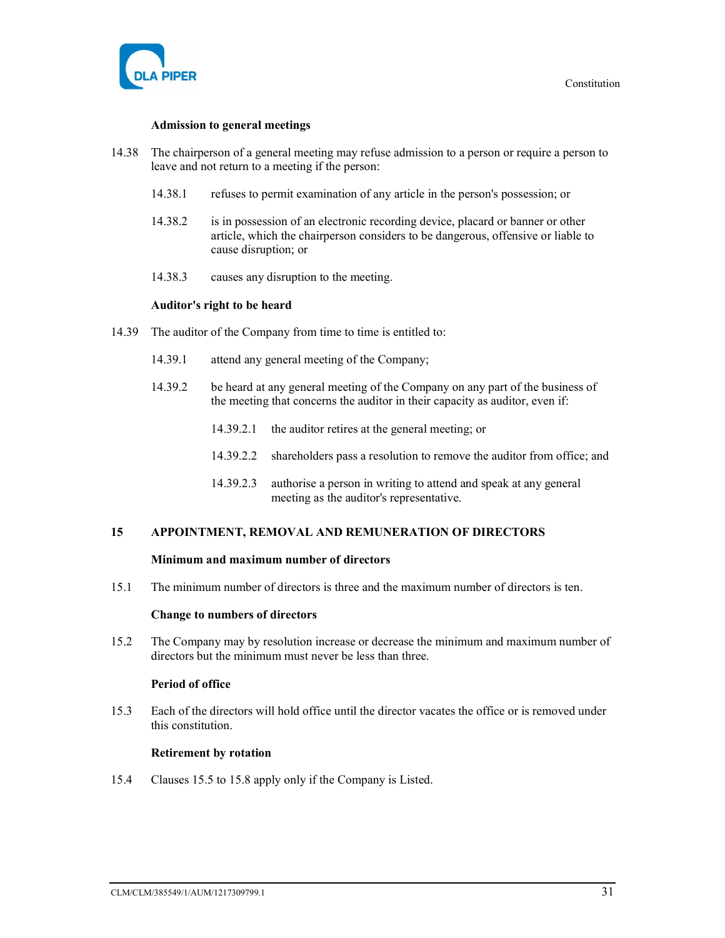

#### Admission to general meetings

- 14.38 The chairperson of a general meeting may refuse admission to a person or require a person to leave and not return to a meeting if the person:
	- 14.38.1 refuses to permit examination of any article in the person's possession; or
	- 14.38.2 is in possession of an electronic recording device, placard or banner or other article, which the chairperson considers to be dangerous, offensive or liable to cause disruption; or
	- 14.38.3 causes any disruption to the meeting.

#### Auditor's right to be heard

- 14.39 The auditor of the Company from time to time is entitled to:
	- 14.39.1 attend any general meeting of the Company;
	- 14.39.2 be heard at any general meeting of the Company on any part of the business of the meeting that concerns the auditor in their capacity as auditor, even if:
		- 14.39.2.1 the auditor retires at the general meeting; or
		- 14.39.2.2 shareholders pass a resolution to remove the auditor from office; and
		- 14.39.2.3 authorise a person in writing to attend and speak at any general meeting as the auditor's representative.

#### 15 APPOINTMENT, REMOVAL AND REMUNERATION OF DIRECTORS

#### Minimum and maximum number of directors

15.1 The minimum number of directors is three and the maximum number of directors is ten.

#### Change to numbers of directors

15.2 The Company may by resolution increase or decrease the minimum and maximum number of directors but the minimum must never be less than three.

# Period of office

15.3 Each of the directors will hold office until the director vacates the office or is removed under this constitution.

#### Retirement by rotation

15.4 Clauses 15.5 to 15.8 apply only if the Company is Listed.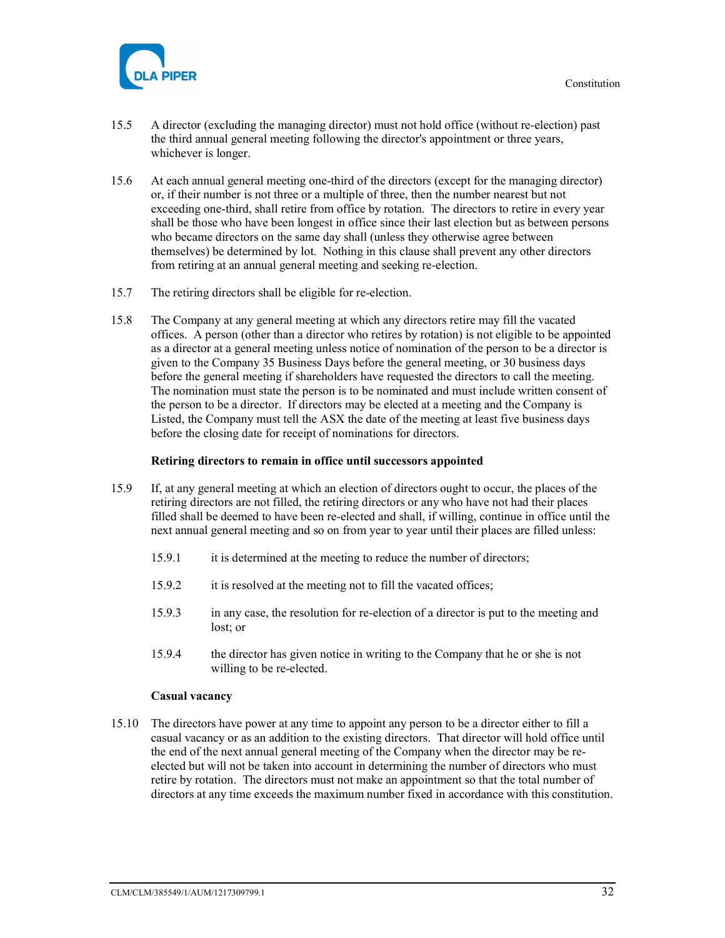

- 15.5 A director (excluding the managing director) must not hold office (without re-election) past the third annual general meeting following the director's appointment or three years, whichever is longer.
- 15.6 At each annual general meeting one-third of the directors (except for the managing director) or, if their number is not three or a multiple of three, then the number nearest but not exceeding one-third, shall retire from office by rotation. The directors to retire in every year shall be those who have been longest in office since their last election but as between persons who became directors on the same day shall (unless they otherwise agree between themselves) be determined by lot. Nothing in this clause shall prevent any other directors from retiring at an annual general meeting and seeking re-election.
- 15.7 The retiring directors shall be eligible for re-election.
- 15.8 The Company at any general meeting at which any directors retire may fill the vacated offices. A person (other than a director who retires by rotation) is not eligible to be appointed as a director at a general meeting unless notice of nomination of the person to be a director is given to the Company 35 Business Days before the general meeting, or 30 business days before the general meeting if shareholders have requested the directors to call the meeting. The nomination must state the person is to be nominated and must include written consent of the person to be a director. If directors may be elected at a meeting and the Company is Listed, the Company must tell the ASX the date of the meeting at least five business days before the closing date for receipt of nominations for directors.

#### Retiring directors to remain in office until successors appointed

- 15.9 If, at any general meeting at which an election of directors ought to occur, the places of the retiring directors are not filled, the retiring directors or any who have not had their places filled shall be deemed to have been re-elected and shall, if willing, continue in office until the next annual general meeting and so on from year to year until their places are filled unless:
	- 15.9.1 it is determined at the meeting to reduce the number of directors;
	- 15.9.2 it is resolved at the meeting not to fill the vacated offices;
	- 15.9.3 in any case, the resolution for re-election of a director is put to the meeting and lost; or
	- 15.9.4 the director has given notice in writing to the Company that he or she is not willing to be re-elected.

#### Casual vacancy

15.10 The directors have power at any time to appoint any person to be a director either to fill a casual vacancy or as an addition to the existing directors. That director will hold office until the end of the next annual general meeting of the Company when the director may be reelected but will not be taken into account in determining the number of directors who must retire by rotation. The directors must not make an appointment so that the total number of directors at any time exceeds the maximum number fixed in accordance with this constitution.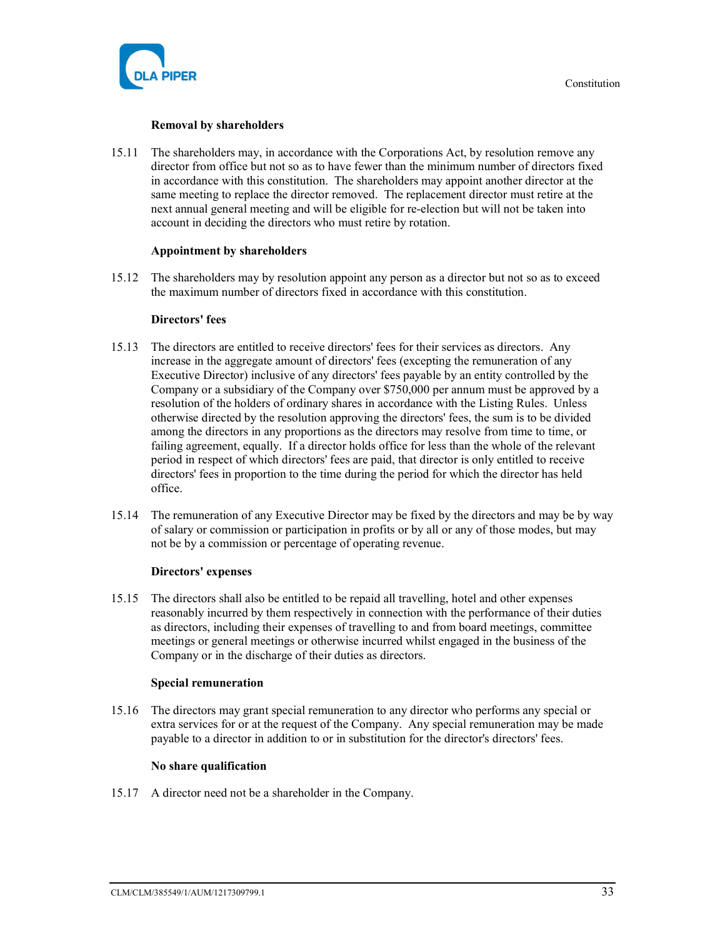

#### Removal by shareholders

15.11 The shareholders may, in accordance with the Corporations Act, by resolution remove any director from office but not so as to have fewer than the minimum number of directors fixed in accordance with this constitution. The shareholders may appoint another director at the same meeting to replace the director removed. The replacement director must retire at the next annual general meeting and will be eligible for re-election but will not be taken into account in deciding the directors who must retire by rotation.

#### Appointment by shareholders

15.12 The shareholders may by resolution appoint any person as a director but not so as to exceed the maximum number of directors fixed in accordance with this constitution.

#### Directors' fees

- 15.13 The directors are entitled to receive directors' fees for their services as directors. Any increase in the aggregate amount of directors' fees (excepting the remuneration of any Executive Director) inclusive of any directors' fees payable by an entity controlled by the Company or a subsidiary of the Company over \$750,000 per annum must be approved by a resolution of the holders of ordinary shares in accordance with the Listing Rules. Unless otherwise directed by the resolution approving the directors' fees, the sum is to be divided among the directors in any proportions as the directors may resolve from time to time, or failing agreement, equally. If a director holds office for less than the whole of the relevant period in respect of which directors' fees are paid, that director is only entitled to receive directors' fees in proportion to the time during the period for which the director has held office.
- 15.14 The remuneration of any Executive Director may be fixed by the directors and may be by way of salary or commission or participation in profits or by all or any of those modes, but may not be by a commission or percentage of operating revenue.

#### Directors' expenses

15.15 The directors shall also be entitled to be repaid all travelling, hotel and other expenses reasonably incurred by them respectively in connection with the performance of their duties as directors, including their expenses of travelling to and from board meetings, committee meetings or general meetings or otherwise incurred whilst engaged in the business of the Company or in the discharge of their duties as directors.

#### Special remuneration

15.16 The directors may grant special remuneration to any director who performs any special or extra services for or at the request of the Company. Any special remuneration may be made payable to a director in addition to or in substitution for the director's directors' fees.

#### No share qualification

15.17 A director need not be a shareholder in the Company.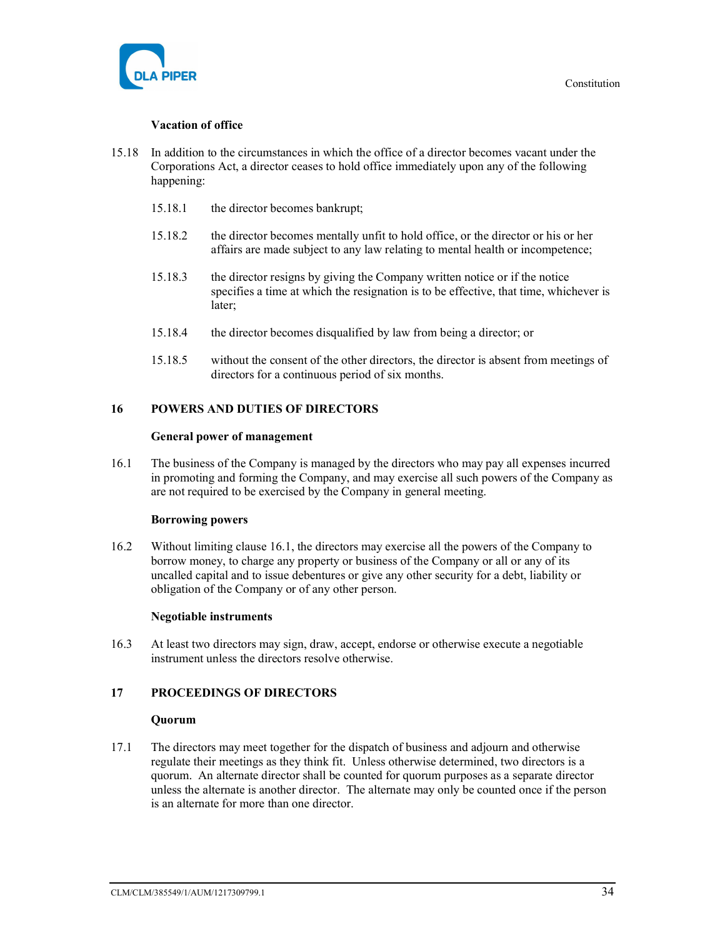

#### Vacation of office

- 15.18 In addition to the circumstances in which the office of a director becomes vacant under the Corporations Act, a director ceases to hold office immediately upon any of the following happening:
	- 15.18.1 the director becomes bankrupt;
	- 15.18.2 the director becomes mentally unfit to hold office, or the director or his or her affairs are made subject to any law relating to mental health or incompetence;
	- 15.18.3 the director resigns by giving the Company written notice or if the notice specifies a time at which the resignation is to be effective, that time, whichever is later;
	- 15.18.4 the director becomes disqualified by law from being a director; or
	- 15.18.5 without the consent of the other directors, the director is absent from meetings of directors for a continuous period of six months.

#### 16 POWERS AND DUTIES OF DIRECTORS

#### General power of management

16.1 The business of the Company is managed by the directors who may pay all expenses incurred in promoting and forming the Company, and may exercise all such powers of the Company as are not required to be exercised by the Company in general meeting.

#### Borrowing powers

16.2 Without limiting clause 16.1, the directors may exercise all the powers of the Company to borrow money, to charge any property or business of the Company or all or any of its uncalled capital and to issue debentures or give any other security for a debt, liability or obligation of the Company or of any other person.

#### Negotiable instruments

16.3 At least two directors may sign, draw, accept, endorse or otherwise execute a negotiable instrument unless the directors resolve otherwise.

# 17 PROCEEDINGS OF DIRECTORS

#### **Ouorum**

17.1 The directors may meet together for the dispatch of business and adjourn and otherwise regulate their meetings as they think fit. Unless otherwise determined, two directors is a quorum. An alternate director shall be counted for quorum purposes as a separate director unless the alternate is another director. The alternate may only be counted once if the person is an alternate for more than one director.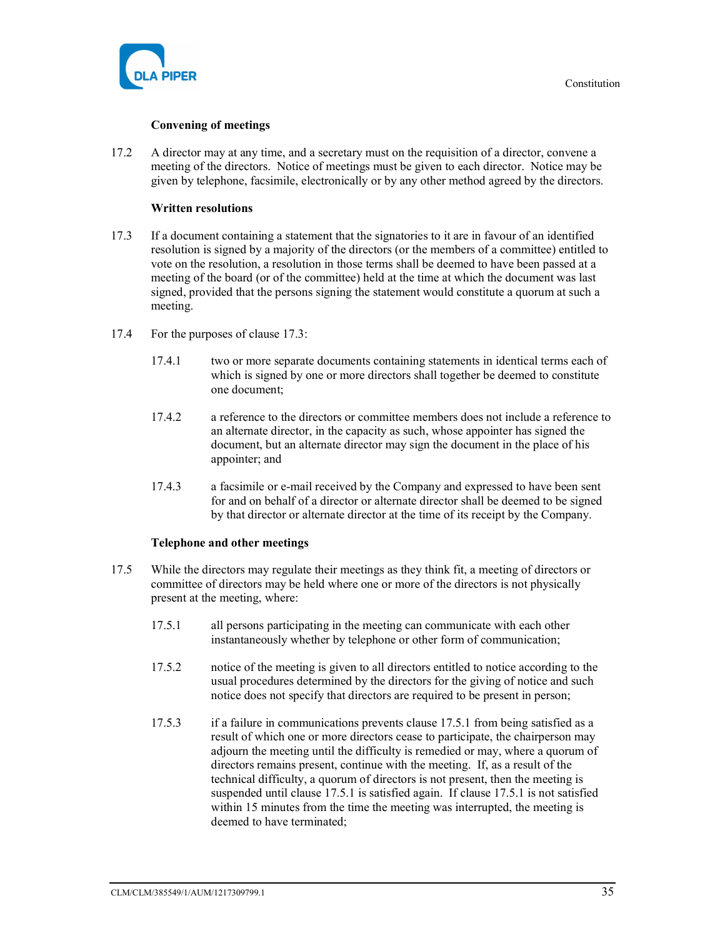

# Convening of meetings

17.2 A director may at any time, and a secretary must on the requisition of a director, convene a meeting of the directors. Notice of meetings must be given to each director. Notice may be given by telephone, facsimile, electronically or by any other method agreed by the directors.

# Written resolutions

- 17.3 If a document containing a statement that the signatories to it are in favour of an identified resolution is signed by a majority of the directors (or the members of a committee) entitled to vote on the resolution, a resolution in those terms shall be deemed to have been passed at a meeting of the board (or of the committee) held at the time at which the document was last signed, provided that the persons signing the statement would constitute a quorum at such a meeting.
- 17.4 For the purposes of clause 17.3:
	- 17.4.1 two or more separate documents containing statements in identical terms each of which is signed by one or more directors shall together be deemed to constitute one document;
	- 17.4.2 a reference to the directors or committee members does not include a reference to an alternate director, in the capacity as such, whose appointer has signed the document, but an alternate director may sign the document in the place of his appointer; and
	- 17.4.3 a facsimile or e-mail received by the Company and expressed to have been sent for and on behalf of a director or alternate director shall be deemed to be signed by that director or alternate director at the time of its receipt by the Company.

#### Telephone and other meetings

- 17.5 While the directors may regulate their meetings as they think fit, a meeting of directors or committee of directors may be held where one or more of the directors is not physically present at the meeting, where:
	- 17.5.1 all persons participating in the meeting can communicate with each other instantaneously whether by telephone or other form of communication;
	- 17.5.2 notice of the meeting is given to all directors entitled to notice according to the usual procedures determined by the directors for the giving of notice and such notice does not specify that directors are required to be present in person;
	- 17.5.3 if a failure in communications prevents clause 17.5.1 from being satisfied as a result of which one or more directors cease to participate, the chairperson may adjourn the meeting until the difficulty is remedied or may, where a quorum of directors remains present, continue with the meeting. If, as a result of the technical difficulty, a quorum of directors is not present, then the meeting is suspended until clause 17.5.1 is satisfied again. If clause 17.5.1 is not satisfied within 15 minutes from the time the meeting was interrupted, the meeting is deemed to have terminated;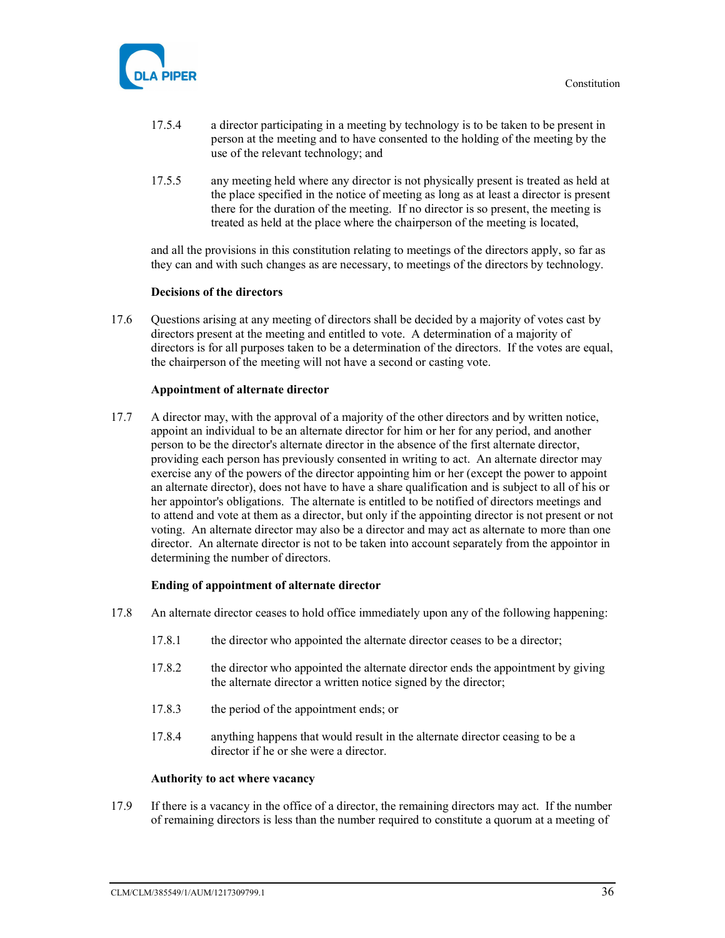

- 17.5.4 a director participating in a meeting by technology is to be taken to be present in person at the meeting and to have consented to the holding of the meeting by the use of the relevant technology; and
- 17.5.5 any meeting held where any director is not physically present is treated as held at the place specified in the notice of meeting as long as at least a director is present there for the duration of the meeting. If no director is so present, the meeting is treated as held at the place where the chairperson of the meeting is located,

and all the provisions in this constitution relating to meetings of the directors apply, so far as they can and with such changes as are necessary, to meetings of the directors by technology.

#### Decisions of the directors

17.6 Questions arising at any meeting of directors shall be decided by a majority of votes cast by directors present at the meeting and entitled to vote. A determination of a majority of directors is for all purposes taken to be a determination of the directors. If the votes are equal, the chairperson of the meeting will not have a second or casting vote.

#### Appointment of alternate director

17.7 A director may, with the approval of a majority of the other directors and by written notice, appoint an individual to be an alternate director for him or her for any period, and another person to be the director's alternate director in the absence of the first alternate director, providing each person has previously consented in writing to act. An alternate director may exercise any of the powers of the director appointing him or her (except the power to appoint an alternate director), does not have to have a share qualification and is subject to all of his or her appointor's obligations. The alternate is entitled to be notified of directors meetings and to attend and vote at them as a director, but only if the appointing director is not present or not voting. An alternate director may also be a director and may act as alternate to more than one director. An alternate director is not to be taken into account separately from the appointor in determining the number of directors.

#### Ending of appointment of alternate director

- 17.8 An alternate director ceases to hold office immediately upon any of the following happening:
	- 17.8.1 the director who appointed the alternate director ceases to be a director;
	- 17.8.2 the director who appointed the alternate director ends the appointment by giving the alternate director a written notice signed by the director;
	- 17.8.3 the period of the appointment ends; or
	- 17.8.4 anything happens that would result in the alternate director ceasing to be a director if he or she were a director.

#### Authority to act where vacancy

17.9 If there is a vacancy in the office of a director, the remaining directors may act. If the number of remaining directors is less than the number required to constitute a quorum at a meeting of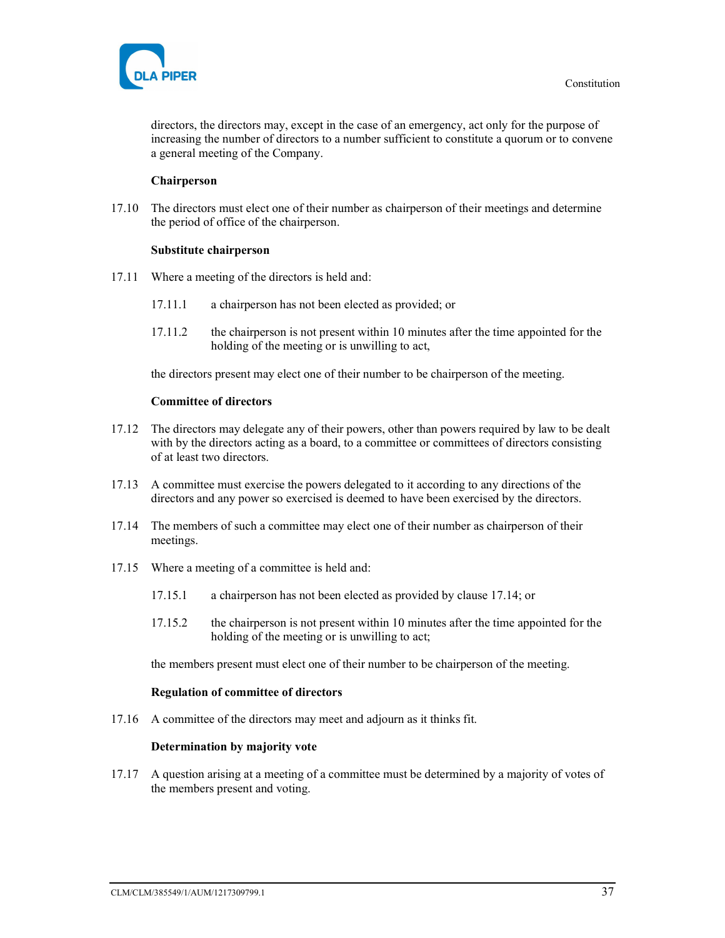

directors, the directors may, except in the case of an emergency, act only for the purpose of increasing the number of directors to a number sufficient to constitute a quorum or to convene a general meeting of the Company.

# Chairperson

17.10 The directors must elect one of their number as chairperson of their meetings and determine the period of office of the chairperson.

#### Substitute chairperson

- 17.11 Where a meeting of the directors is held and:
	- 17.11.1 a chairperson has not been elected as provided; or
	- 17.11.2 the chairperson is not present within 10 minutes after the time appointed for the holding of the meeting or is unwilling to act,

the directors present may elect one of their number to be chairperson of the meeting.

#### Committee of directors

- 17.12 The directors may delegate any of their powers, other than powers required by law to be dealt with by the directors acting as a board, to a committee or committees of directors consisting of at least two directors.
- 17.13 A committee must exercise the powers delegated to it according to any directions of the directors and any power so exercised is deemed to have been exercised by the directors.
- 17.14 The members of such a committee may elect one of their number as chairperson of their meetings.
- 17.15 Where a meeting of a committee is held and:
	- 17.15.1 a chairperson has not been elected as provided by clause 17.14; or
	- 17.15.2 the chairperson is not present within 10 minutes after the time appointed for the holding of the meeting or is unwilling to act;

the members present must elect one of their number to be chairperson of the meeting.

#### Regulation of committee of directors

17.16 A committee of the directors may meet and adjourn as it thinks fit.

#### Determination by majority vote

17.17 A question arising at a meeting of a committee must be determined by a majority of votes of the members present and voting.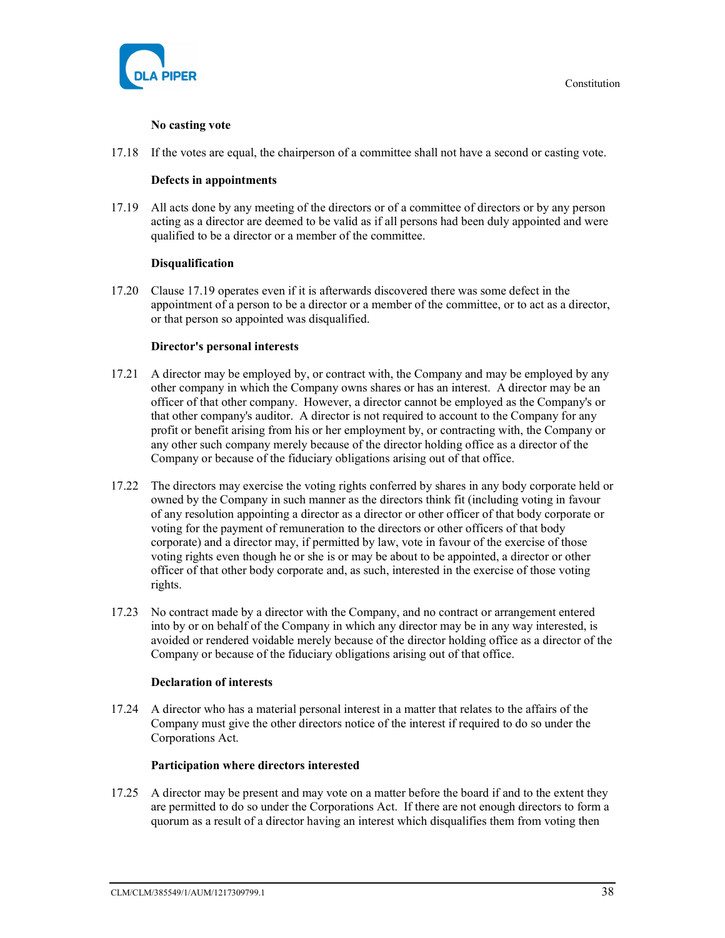

# No casting vote

17.18 If the votes are equal, the chairperson of a committee shall not have a second or casting vote.

# Defects in appointments

17.19 All acts done by any meeting of the directors or of a committee of directors or by any person acting as a director are deemed to be valid as if all persons had been duly appointed and were qualified to be a director or a member of the committee.

# Disqualification

17.20 Clause 17.19 operates even if it is afterwards discovered there was some defect in the appointment of a person to be a director or a member of the committee, or to act as a director, or that person so appointed was disqualified.

# Director's personal interests

- 17.21 A director may be employed by, or contract with, the Company and may be employed by any other company in which the Company owns shares or has an interest. A director may be an officer of that other company. However, a director cannot be employed as the Company's or that other company's auditor. A director is not required to account to the Company for any profit or benefit arising from his or her employment by, or contracting with, the Company or any other such company merely because of the director holding office as a director of the Company or because of the fiduciary obligations arising out of that office.
- 17.22 The directors may exercise the voting rights conferred by shares in any body corporate held or owned by the Company in such manner as the directors think fit (including voting in favour of any resolution appointing a director as a director or other officer of that body corporate or voting for the payment of remuneration to the directors or other officers of that body corporate) and a director may, if permitted by law, vote in favour of the exercise of those voting rights even though he or she is or may be about to be appointed, a director or other officer of that other body corporate and, as such, interested in the exercise of those voting rights.
- 17.23 No contract made by a director with the Company, and no contract or arrangement entered into by or on behalf of the Company in which any director may be in any way interested, is avoided or rendered voidable merely because of the director holding office as a director of the Company or because of the fiduciary obligations arising out of that office.

#### Declaration of interests

17.24 A director who has a material personal interest in a matter that relates to the affairs of the Company must give the other directors notice of the interest if required to do so under the Corporations Act.

#### Participation where directors interested

17.25 A director may be present and may vote on a matter before the board if and to the extent they are permitted to do so under the Corporations Act. If there are not enough directors to form a quorum as a result of a director having an interest which disqualifies them from voting then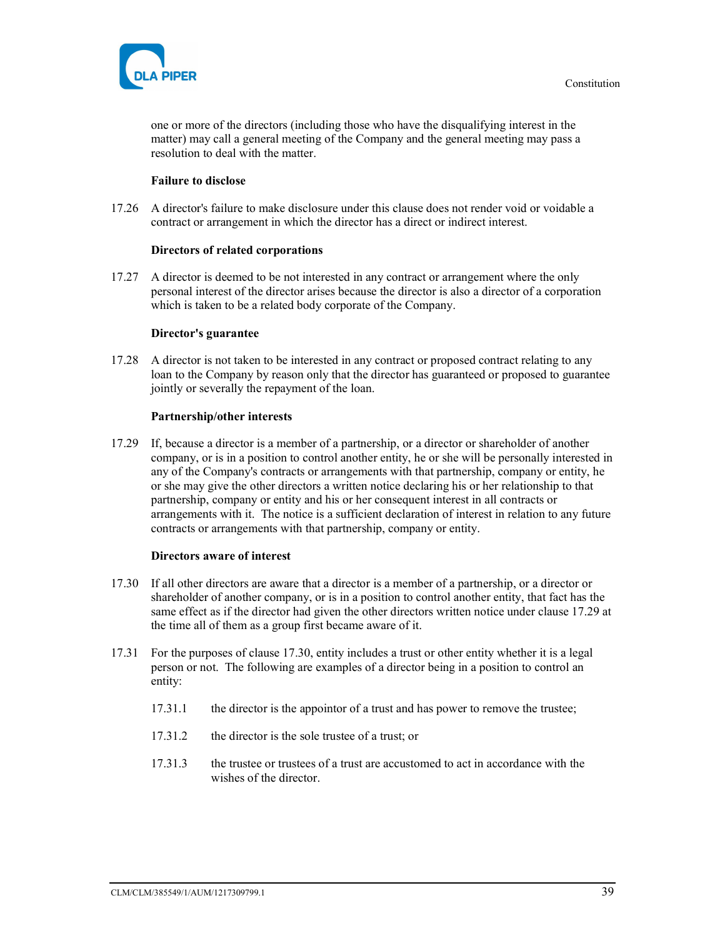

one or more of the directors (including those who have the disqualifying interest in the matter) may call a general meeting of the Company and the general meeting may pass a resolution to deal with the matter.

#### Failure to disclose

17.26 A director's failure to make disclosure under this clause does not render void or voidable a contract or arrangement in which the director has a direct or indirect interest.

#### Directors of related corporations

17.27 A director is deemed to be not interested in any contract or arrangement where the only personal interest of the director arises because the director is also a director of a corporation which is taken to be a related body corporate of the Company.

#### Director's guarantee

17.28 A director is not taken to be interested in any contract or proposed contract relating to any loan to the Company by reason only that the director has guaranteed or proposed to guarantee jointly or severally the repayment of the loan.

#### Partnership/other interests

17.29 If, because a director is a member of a partnership, or a director or shareholder of another company, or is in a position to control another entity, he or she will be personally interested in any of the Company's contracts or arrangements with that partnership, company or entity, he or she may give the other directors a written notice declaring his or her relationship to that partnership, company or entity and his or her consequent interest in all contracts or arrangements with it. The notice is a sufficient declaration of interest in relation to any future contracts or arrangements with that partnership, company or entity.

#### Directors aware of interest

- 17.30 If all other directors are aware that a director is a member of a partnership, or a director or shareholder of another company, or is in a position to control another entity, that fact has the same effect as if the director had given the other directors written notice under clause 17.29 at the time all of them as a group first became aware of it.
- 17.31 For the purposes of clause 17.30, entity includes a trust or other entity whether it is a legal person or not. The following are examples of a director being in a position to control an entity:
	- 17.31.1 the director is the appointor of a trust and has power to remove the trustee;
	- 17.31.2 the director is the sole trustee of a trust; or
	- 17.31.3 the trustee or trustees of a trust are accustomed to act in accordance with the wishes of the director.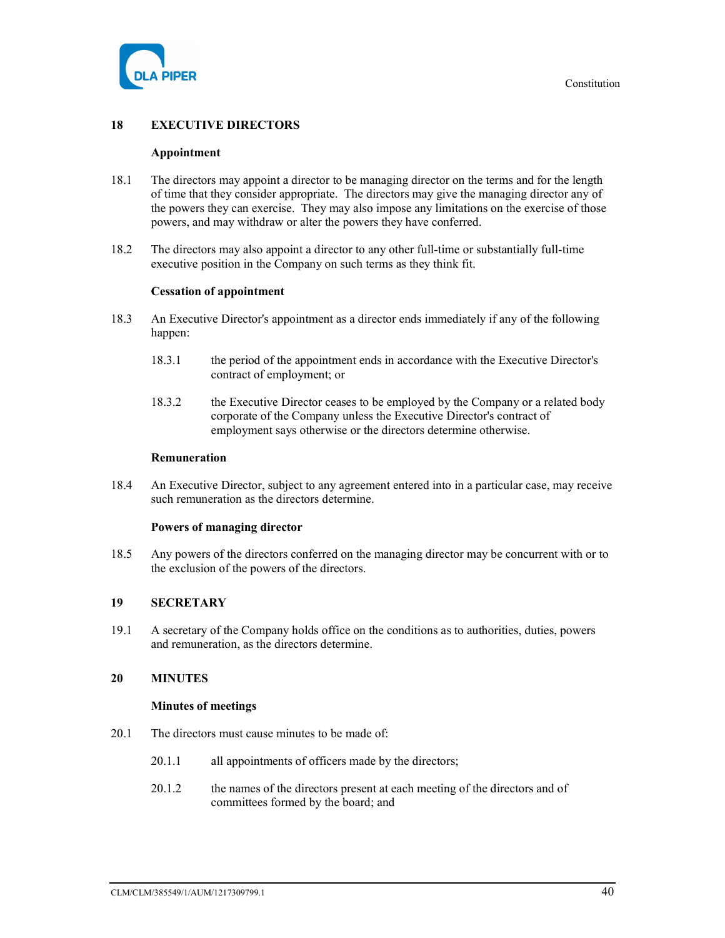

# 18 EXECUTIVE DIRECTORS

#### Appointment

- 18.1 The directors may appoint a director to be managing director on the terms and for the length of time that they consider appropriate. The directors may give the managing director any of the powers they can exercise. They may also impose any limitations on the exercise of those powers, and may withdraw or alter the powers they have conferred.
- 18.2 The directors may also appoint a director to any other full-time or substantially full-time executive position in the Company on such terms as they think fit.

#### Cessation of appointment

- 18.3 An Executive Director's appointment as a director ends immediately if any of the following happen:
	- 18.3.1 the period of the appointment ends in accordance with the Executive Director's contract of employment; or
	- 18.3.2 the Executive Director ceases to be employed by the Company or a related body corporate of the Company unless the Executive Director's contract of employment says otherwise or the directors determine otherwise.

#### Remuneration

18.4 An Executive Director, subject to any agreement entered into in a particular case, may receive such remuneration as the directors determine.

#### Powers of managing director

18.5 Any powers of the directors conferred on the managing director may be concurrent with or to the exclusion of the powers of the directors.

# 19 SECRETARY

19.1 A secretary of the Company holds office on the conditions as to authorities, duties, powers and remuneration, as the directors determine.

# 20 MINUTES

#### Minutes of meetings

- 20.1 The directors must cause minutes to be made of:
	- 20.1.1 all appointments of officers made by the directors;
	- 20.1.2 the names of the directors present at each meeting of the directors and of committees formed by the board; and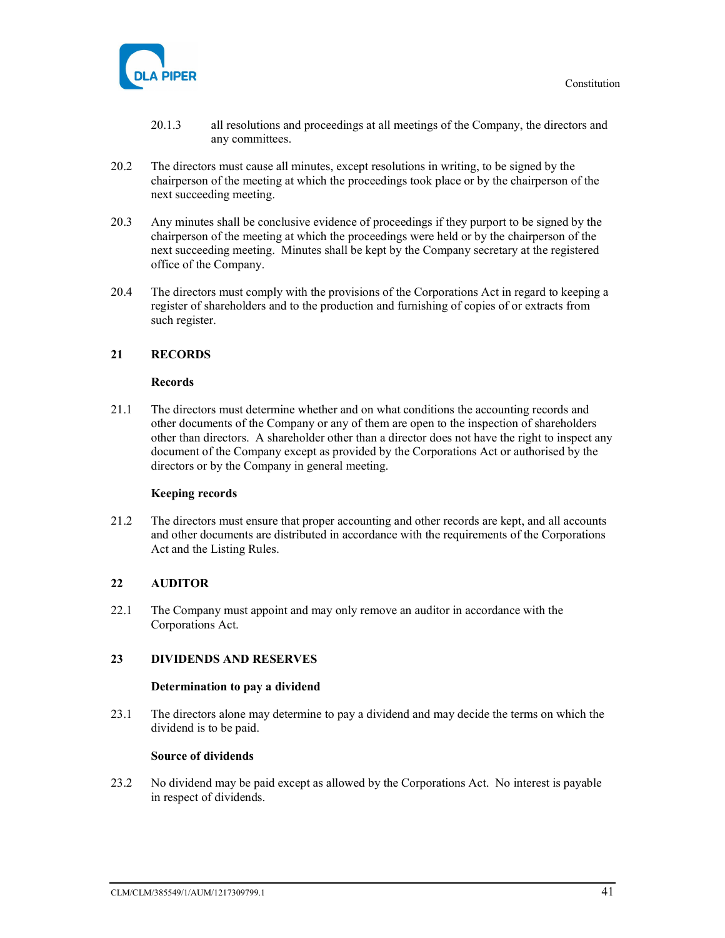

- 20.1.3 all resolutions and proceedings at all meetings of the Company, the directors and any committees.
- 20.2 The directors must cause all minutes, except resolutions in writing, to be signed by the chairperson of the meeting at which the proceedings took place or by the chairperson of the next succeeding meeting.
- 20.3 Any minutes shall be conclusive evidence of proceedings if they purport to be signed by the chairperson of the meeting at which the proceedings were held or by the chairperson of the next succeeding meeting. Minutes shall be kept by the Company secretary at the registered office of the Company.
- 20.4 The directors must comply with the provisions of the Corporations Act in regard to keeping a register of shareholders and to the production and furnishing of copies of or extracts from such register.

# 21 RECORDS

#### Records

21.1 The directors must determine whether and on what conditions the accounting records and other documents of the Company or any of them are open to the inspection of shareholders other than directors. A shareholder other than a director does not have the right to inspect any document of the Company except as provided by the Corporations Act or authorised by the directors or by the Company in general meeting.

#### Keeping records

21.2 The directors must ensure that proper accounting and other records are kept, and all accounts and other documents are distributed in accordance with the requirements of the Corporations Act and the Listing Rules.

#### 22 AUDITOR

22.1 The Company must appoint and may only remove an auditor in accordance with the Corporations Act.

# 23 DIVIDENDS AND RESERVES

#### Determination to pay a dividend

23.1 The directors alone may determine to pay a dividend and may decide the terms on which the dividend is to be paid.

#### Source of dividends

23.2 No dividend may be paid except as allowed by the Corporations Act. No interest is payable in respect of dividends.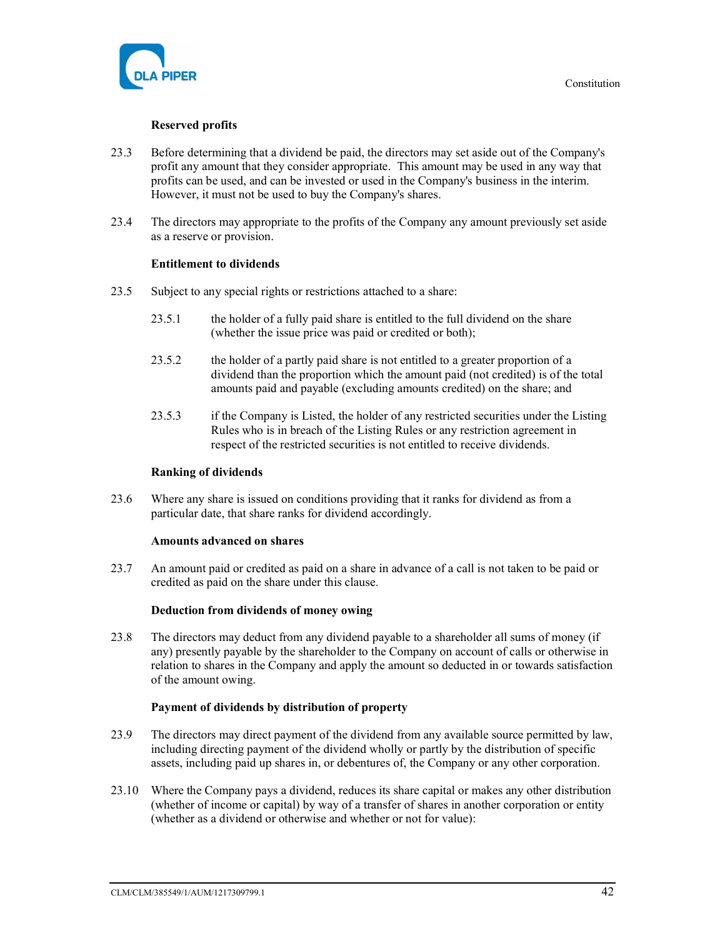

# Reserved profits

- 23.3 Before determining that a dividend be paid, the directors may set aside out of the Company's profit any amount that they consider appropriate. This amount may be used in any way that profits can be used, and can be invested or used in the Company's business in the interim. However, it must not be used to buy the Company's shares.
- 23.4 The directors may appropriate to the profits of the Company any amount previously set aside as a reserve or provision.

#### Entitlement to dividends

- 23.5 Subject to any special rights or restrictions attached to a share:
	- 23.5.1 the holder of a fully paid share is entitled to the full dividend on the share (whether the issue price was paid or credited or both);
	- 23.5.2 the holder of a partly paid share is not entitled to a greater proportion of a dividend than the proportion which the amount paid (not credited) is of the total amounts paid and payable (excluding amounts credited) on the share; and
	- 23.5.3 if the Company is Listed, the holder of any restricted securities under the Listing Rules who is in breach of the Listing Rules or any restriction agreement in respect of the restricted securities is not entitled to receive dividends.

#### Ranking of dividends

23.6 Where any share is issued on conditions providing that it ranks for dividend as from a particular date, that share ranks for dividend accordingly.

#### Amounts advanced on shares

23.7 An amount paid or credited as paid on a share in advance of a call is not taken to be paid or credited as paid on the share under this clause.

#### Deduction from dividends of money owing

23.8 The directors may deduct from any dividend payable to a shareholder all sums of money (if any) presently payable by the shareholder to the Company on account of calls or otherwise in relation to shares in the Company and apply the amount so deducted in or towards satisfaction of the amount owing.

#### Payment of dividends by distribution of property

- 23.9 The directors may direct payment of the dividend from any available source permitted by law, including directing payment of the dividend wholly or partly by the distribution of specific assets, including paid up shares in, or debentures of, the Company or any other corporation.
- 23.10 Where the Company pays a dividend, reduces its share capital or makes any other distribution (whether of income or capital) by way of a transfer of shares in another corporation or entity (whether as a dividend or otherwise and whether or not for value):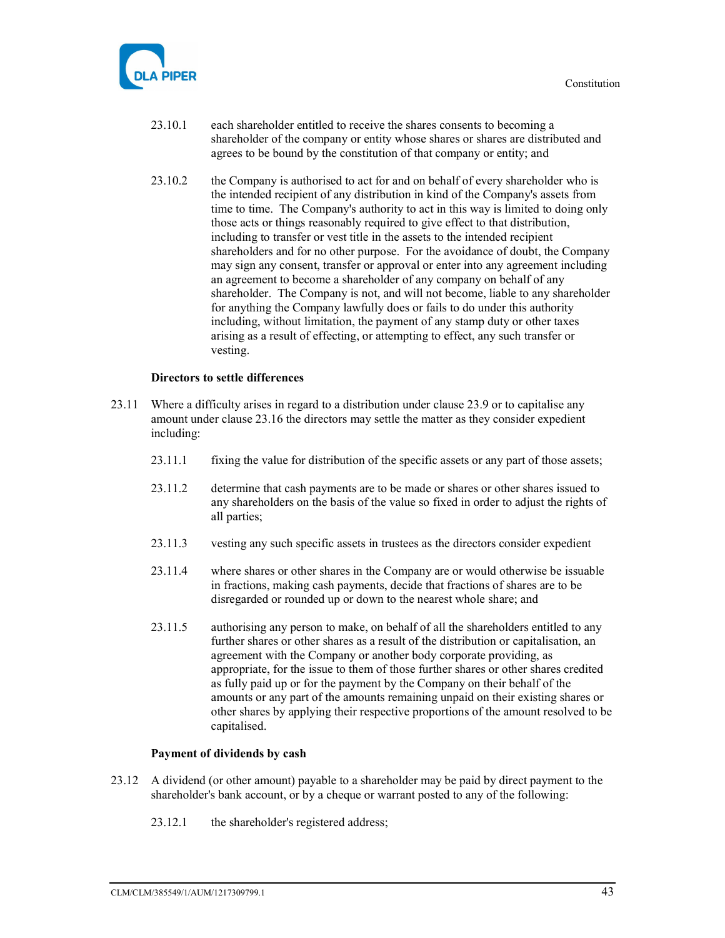

- 23.10.1 each shareholder entitled to receive the shares consents to becoming a shareholder of the company or entity whose shares or shares are distributed and agrees to be bound by the constitution of that company or entity; and
- 23.10.2 the Company is authorised to act for and on behalf of every shareholder who is the intended recipient of any distribution in kind of the Company's assets from time to time. The Company's authority to act in this way is limited to doing only those acts or things reasonably required to give effect to that distribution, including to transfer or vest title in the assets to the intended recipient shareholders and for no other purpose. For the avoidance of doubt, the Company may sign any consent, transfer or approval or enter into any agreement including an agreement to become a shareholder of any company on behalf of any shareholder. The Company is not, and will not become, liable to any shareholder for anything the Company lawfully does or fails to do under this authority including, without limitation, the payment of any stamp duty or other taxes arising as a result of effecting, or attempting to effect, any such transfer or vesting.

#### Directors to settle differences

- 23.11 Where a difficulty arises in regard to a distribution under clause 23.9 or to capitalise any amount under clause 23.16 the directors may settle the matter as they consider expedient including:
	- 23.11.1 fixing the value for distribution of the specific assets or any part of those assets;
	- 23.11.2 determine that cash payments are to be made or shares or other shares issued to any shareholders on the basis of the value so fixed in order to adjust the rights of all parties;
	- 23.11.3 vesting any such specific assets in trustees as the directors consider expedient
	- 23.11.4 where shares or other shares in the Company are or would otherwise be issuable in fractions, making cash payments, decide that fractions of shares are to be disregarded or rounded up or down to the nearest whole share; and
	- 23.11.5 authorising any person to make, on behalf of all the shareholders entitled to any further shares or other shares as a result of the distribution or capitalisation, an agreement with the Company or another body corporate providing, as appropriate, for the issue to them of those further shares or other shares credited as fully paid up or for the payment by the Company on their behalf of the amounts or any part of the amounts remaining unpaid on their existing shares or other shares by applying their respective proportions of the amount resolved to be capitalised.

#### Payment of dividends by cash

- 23.12 A dividend (or other amount) payable to a shareholder may be paid by direct payment to the shareholder's bank account, or by a cheque or warrant posted to any of the following:
	- 23.12.1 the shareholder's registered address;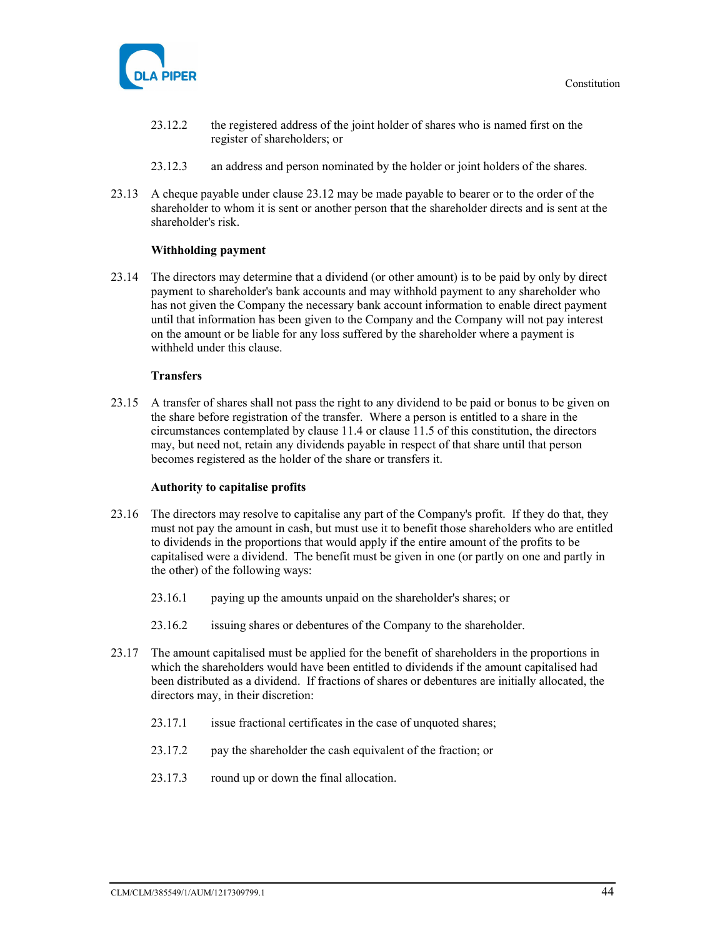

- 23.12.2 the registered address of the joint holder of shares who is named first on the register of shareholders; or
- 23.12.3 an address and person nominated by the holder or joint holders of the shares.
- 23.13 A cheque payable under clause 23.12 may be made payable to bearer or to the order of the shareholder to whom it is sent or another person that the shareholder directs and is sent at the shareholder's risk.

#### Withholding payment

23.14 The directors may determine that a dividend (or other amount) is to be paid by only by direct payment to shareholder's bank accounts and may withhold payment to any shareholder who has not given the Company the necessary bank account information to enable direct payment until that information has been given to the Company and the Company will not pay interest on the amount or be liable for any loss suffered by the shareholder where a payment is withheld under this clause.

#### **Transfers**

23.15 A transfer of shares shall not pass the right to any dividend to be paid or bonus to be given on the share before registration of the transfer. Where a person is entitled to a share in the circumstances contemplated by clause 11.4 or clause 11.5 of this constitution, the directors may, but need not, retain any dividends payable in respect of that share until that person becomes registered as the holder of the share or transfers it.

#### Authority to capitalise profits

- 23.16 The directors may resolve to capitalise any part of the Company's profit. If they do that, they must not pay the amount in cash, but must use it to benefit those shareholders who are entitled to dividends in the proportions that would apply if the entire amount of the profits to be capitalised were a dividend. The benefit must be given in one (or partly on one and partly in the other) of the following ways:
	- 23.16.1 paying up the amounts unpaid on the shareholder's shares; or
	- 23.16.2 issuing shares or debentures of the Company to the shareholder.
- 23.17 The amount capitalised must be applied for the benefit of shareholders in the proportions in which the shareholders would have been entitled to dividends if the amount capitalised had been distributed as a dividend. If fractions of shares or debentures are initially allocated, the directors may, in their discretion:
	- 23.17.1 issue fractional certificates in the case of unquoted shares;
	- 23.17.2 pay the shareholder the cash equivalent of the fraction; or
	- 23.17.3 round up or down the final allocation.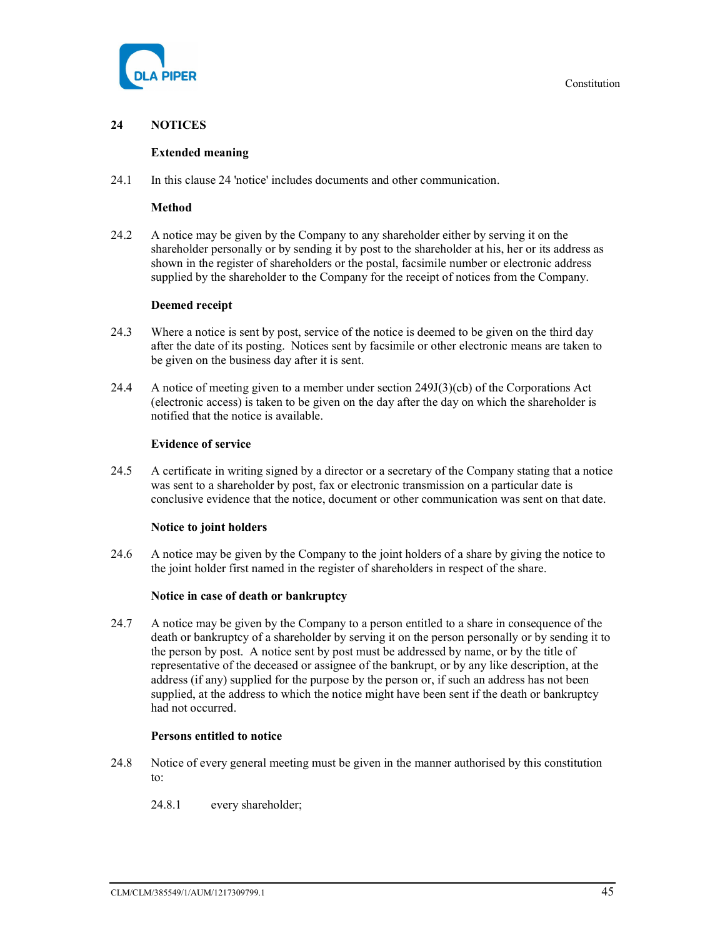

# 24 NOTICES

#### Extended meaning

24.1 In this clause 24 'notice' includes documents and other communication.

#### Method

24.2 A notice may be given by the Company to any shareholder either by serving it on the shareholder personally or by sending it by post to the shareholder at his, her or its address as shown in the register of shareholders or the postal, facsimile number or electronic address supplied by the shareholder to the Company for the receipt of notices from the Company.

# Deemed receipt

- 24.3 Where a notice is sent by post, service of the notice is deemed to be given on the third day after the date of its posting. Notices sent by facsimile or other electronic means are taken to be given on the business day after it is sent.
- 24.4 A notice of meeting given to a member under section 249J(3)(cb) of the Corporations Act (electronic access) is taken to be given on the day after the day on which the shareholder is notified that the notice is available.

#### Evidence of service

24.5 A certificate in writing signed by a director or a secretary of the Company stating that a notice was sent to a shareholder by post, fax or electronic transmission on a particular date is conclusive evidence that the notice, document or other communication was sent on that date.

#### Notice to joint holders

24.6 A notice may be given by the Company to the joint holders of a share by giving the notice to the joint holder first named in the register of shareholders in respect of the share.

#### Notice in case of death or bankruptcy

24.7 A notice may be given by the Company to a person entitled to a share in consequence of the death or bankruptcy of a shareholder by serving it on the person personally or by sending it to the person by post. A notice sent by post must be addressed by name, or by the title of representative of the deceased or assignee of the bankrupt, or by any like description, at the address (if any) supplied for the purpose by the person or, if such an address has not been supplied, at the address to which the notice might have been sent if the death or bankruptcy had not occurred.

#### Persons entitled to notice

- 24.8 Notice of every general meeting must be given in the manner authorised by this constitution to:
	- 24.8.1 every shareholder;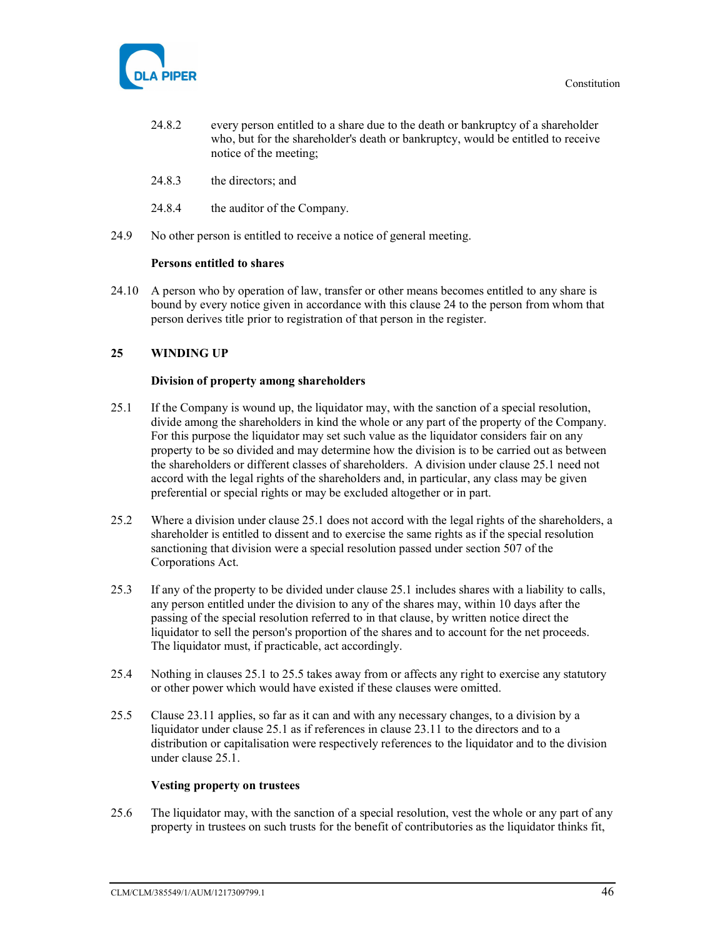

- 24.8.2 every person entitled to a share due to the death or bankruptcy of a shareholder who, but for the shareholder's death or bankruptcy, would be entitled to receive notice of the meeting;
- 24.8.3 the directors; and
- 24.8.4 the auditor of the Company.
- 24.9 No other person is entitled to receive a notice of general meeting.

#### Persons entitled to shares

24.10 A person who by operation of law, transfer or other means becomes entitled to any share is bound by every notice given in accordance with this clause 24 to the person from whom that person derives title prior to registration of that person in the register.

# 25 WINDING UP

#### Division of property among shareholders

- 25.1 If the Company is wound up, the liquidator may, with the sanction of a special resolution, divide among the shareholders in kind the whole or any part of the property of the Company. For this purpose the liquidator may set such value as the liquidator considers fair on any property to be so divided and may determine how the division is to be carried out as between the shareholders or different classes of shareholders. A division under clause 25.1 need not accord with the legal rights of the shareholders and, in particular, any class may be given preferential or special rights or may be excluded altogether or in part.
- 25.2 Where a division under clause 25.1 does not accord with the legal rights of the shareholders, a shareholder is entitled to dissent and to exercise the same rights as if the special resolution sanctioning that division were a special resolution passed under section 507 of the Corporations Act.
- 25.3 If any of the property to be divided under clause 25.1 includes shares with a liability to calls, any person entitled under the division to any of the shares may, within 10 days after the passing of the special resolution referred to in that clause, by written notice direct the liquidator to sell the person's proportion of the shares and to account for the net proceeds. The liquidator must, if practicable, act accordingly.
- 25.4 Nothing in clauses 25.1 to 25.5 takes away from or affects any right to exercise any statutory or other power which would have existed if these clauses were omitted.
- 25.5 Clause 23.11 applies, so far as it can and with any necessary changes, to a division by a liquidator under clause 25.1 as if references in clause 23.11 to the directors and to a distribution or capitalisation were respectively references to the liquidator and to the division under clause 25.1.

#### Vesting property on trustees

25.6 The liquidator may, with the sanction of a special resolution, vest the whole or any part of any property in trustees on such trusts for the benefit of contributories as the liquidator thinks fit,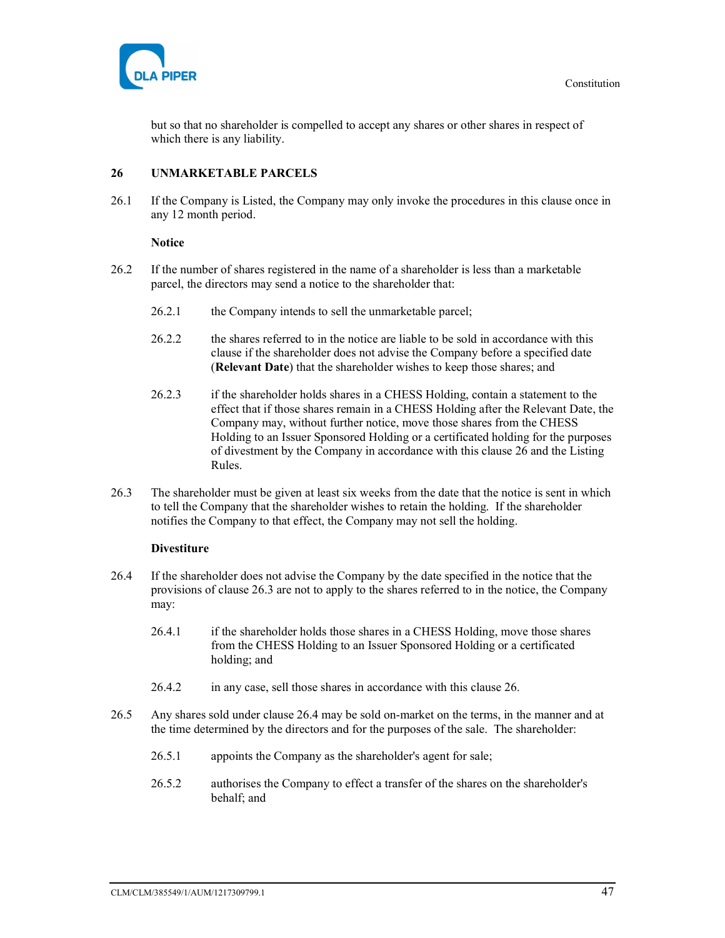

but so that no shareholder is compelled to accept any shares or other shares in respect of which there is any liability.

# 26 UNMARKETABLE PARCELS

26.1 If the Company is Listed, the Company may only invoke the procedures in this clause once in any 12 month period.

#### **Notice**

- 26.2 If the number of shares registered in the name of a shareholder is less than a marketable parcel, the directors may send a notice to the shareholder that:
	- 26.2.1 the Company intends to sell the unmarketable parcel;
	- 26.2.2 the shares referred to in the notice are liable to be sold in accordance with this clause if the shareholder does not advise the Company before a specified date (Relevant Date) that the shareholder wishes to keep those shares; and
	- 26.2.3 if the shareholder holds shares in a CHESS Holding, contain a statement to the effect that if those shares remain in a CHESS Holding after the Relevant Date, the Company may, without further notice, move those shares from the CHESS Holding to an Issuer Sponsored Holding or a certificated holding for the purposes of divestment by the Company in accordance with this clause 26 and the Listing Rules.
- 26.3 The shareholder must be given at least six weeks from the date that the notice is sent in which to tell the Company that the shareholder wishes to retain the holding. If the shareholder notifies the Company to that effect, the Company may not sell the holding.

#### **Divestiture**

- 26.4 If the shareholder does not advise the Company by the date specified in the notice that the provisions of clause 26.3 are not to apply to the shares referred to in the notice, the Company may:
	- 26.4.1 if the shareholder holds those shares in a CHESS Holding, move those shares from the CHESS Holding to an Issuer Sponsored Holding or a certificated holding; and
	- 26.4.2 in any case, sell those shares in accordance with this clause 26.
- 26.5 Any shares sold under clause 26.4 may be sold on-market on the terms, in the manner and at the time determined by the directors and for the purposes of the sale. The shareholder:
	- 26.5.1 appoints the Company as the shareholder's agent for sale;
	- 26.5.2 authorises the Company to effect a transfer of the shares on the shareholder's behalf; and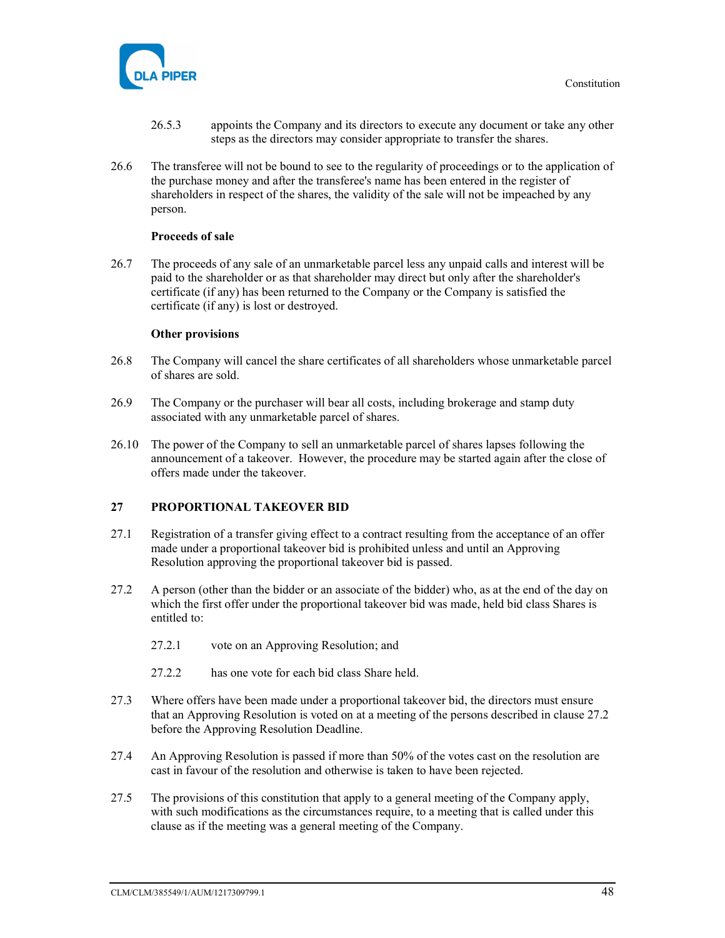

- 26.5.3 appoints the Company and its directors to execute any document or take any other steps as the directors may consider appropriate to transfer the shares.
- 26.6 The transferee will not be bound to see to the regularity of proceedings or to the application of the purchase money and after the transferee's name has been entered in the register of shareholders in respect of the shares, the validity of the sale will not be impeached by any person.

#### Proceeds of sale

26.7 The proceeds of any sale of an unmarketable parcel less any unpaid calls and interest will be paid to the shareholder or as that shareholder may direct but only after the shareholder's certificate (if any) has been returned to the Company or the Company is satisfied the certificate (if any) is lost or destroyed.

#### Other provisions

- 26.8 The Company will cancel the share certificates of all shareholders whose unmarketable parcel of shares are sold.
- 26.9 The Company or the purchaser will bear all costs, including brokerage and stamp duty associated with any unmarketable parcel of shares.
- 26.10 The power of the Company to sell an unmarketable parcel of shares lapses following the announcement of a takeover. However, the procedure may be started again after the close of offers made under the takeover.

#### 27 PROPORTIONAL TAKEOVER BID

- 27.1 Registration of a transfer giving effect to a contract resulting from the acceptance of an offer made under a proportional takeover bid is prohibited unless and until an Approving Resolution approving the proportional takeover bid is passed.
- 27.2 A person (other than the bidder or an associate of the bidder) who, as at the end of the day on which the first offer under the proportional takeover bid was made, held bid class Shares is entitled to:
	- 27.2.1 vote on an Approving Resolution; and
	- 27.2.2 has one vote for each bid class Share held.
- 27.3 Where offers have been made under a proportional takeover bid, the directors must ensure that an Approving Resolution is voted on at a meeting of the persons described in clause 27.2 before the Approving Resolution Deadline.
- 27.4 An Approving Resolution is passed if more than 50% of the votes cast on the resolution are cast in favour of the resolution and otherwise is taken to have been rejected.
- 27.5 The provisions of this constitution that apply to a general meeting of the Company apply, with such modifications as the circumstances require, to a meeting that is called under this clause as if the meeting was a general meeting of the Company.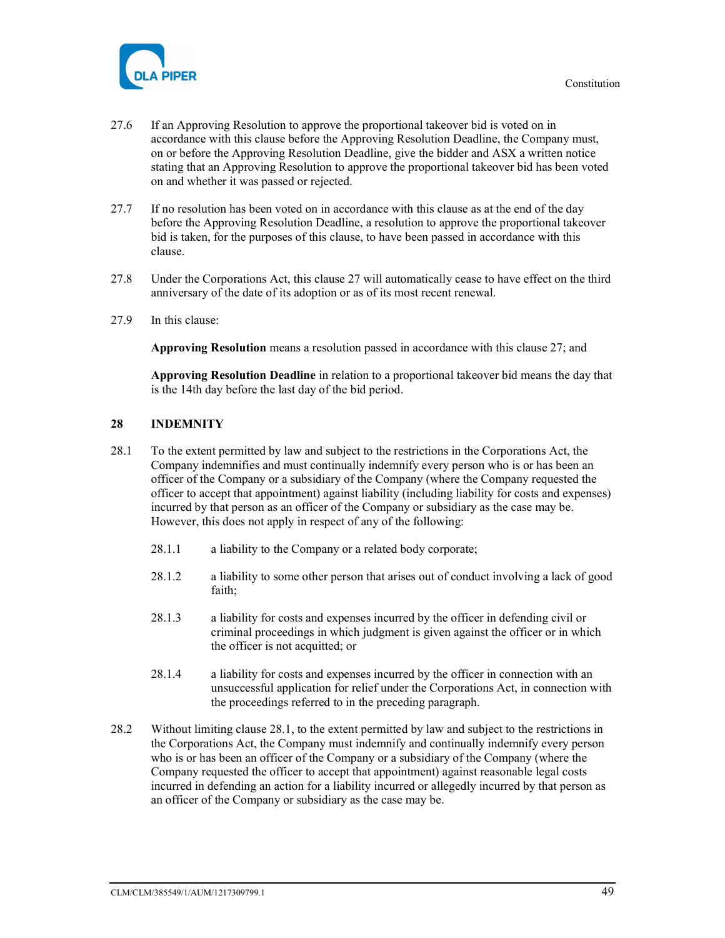

- 27.6 If an Approving Resolution to approve the proportional takeover bid is voted on in accordance with this clause before the Approving Resolution Deadline, the Company must, on or before the Approving Resolution Deadline, give the bidder and ASX a written notice stating that an Approving Resolution to approve the proportional takeover bid has been voted on and whether it was passed or rejected.
- 27.7 If no resolution has been voted on in accordance with this clause as at the end of the day before the Approving Resolution Deadline, a resolution to approve the proportional takeover bid is taken, for the purposes of this clause, to have been passed in accordance with this clause.
- 27.8 Under the Corporations Act, this clause 27 will automatically cease to have effect on the third anniversary of the date of its adoption or as of its most recent renewal.
- 27.9 In this clause:

Approving Resolution means a resolution passed in accordance with this clause 27; and

Approving Resolution Deadline in relation to a proportional takeover bid means the day that is the 14th day before the last day of the bid period.

# 28 INDEMNITY

- 28.1 To the extent permitted by law and subject to the restrictions in the Corporations Act, the Company indemnifies and must continually indemnify every person who is or has been an officer of the Company or a subsidiary of the Company (where the Company requested the officer to accept that appointment) against liability (including liability for costs and expenses) incurred by that person as an officer of the Company or subsidiary as the case may be. However, this does not apply in respect of any of the following:
	- 28.1.1 a liability to the Company or a related body corporate;
	- 28.1.2 a liability to some other person that arises out of conduct involving a lack of good faith;
	- 28.1.3 a liability for costs and expenses incurred by the officer in defending civil or criminal proceedings in which judgment is given against the officer or in which the officer is not acquitted; or
	- 28.1.4 a liability for costs and expenses incurred by the officer in connection with an unsuccessful application for relief under the Corporations Act, in connection with the proceedings referred to in the preceding paragraph.
- 28.2 Without limiting clause 28.1, to the extent permitted by law and subject to the restrictions in the Corporations Act, the Company must indemnify and continually indemnify every person who is or has been an officer of the Company or a subsidiary of the Company (where the Company requested the officer to accept that appointment) against reasonable legal costs incurred in defending an action for a liability incurred or allegedly incurred by that person as an officer of the Company or subsidiary as the case may be.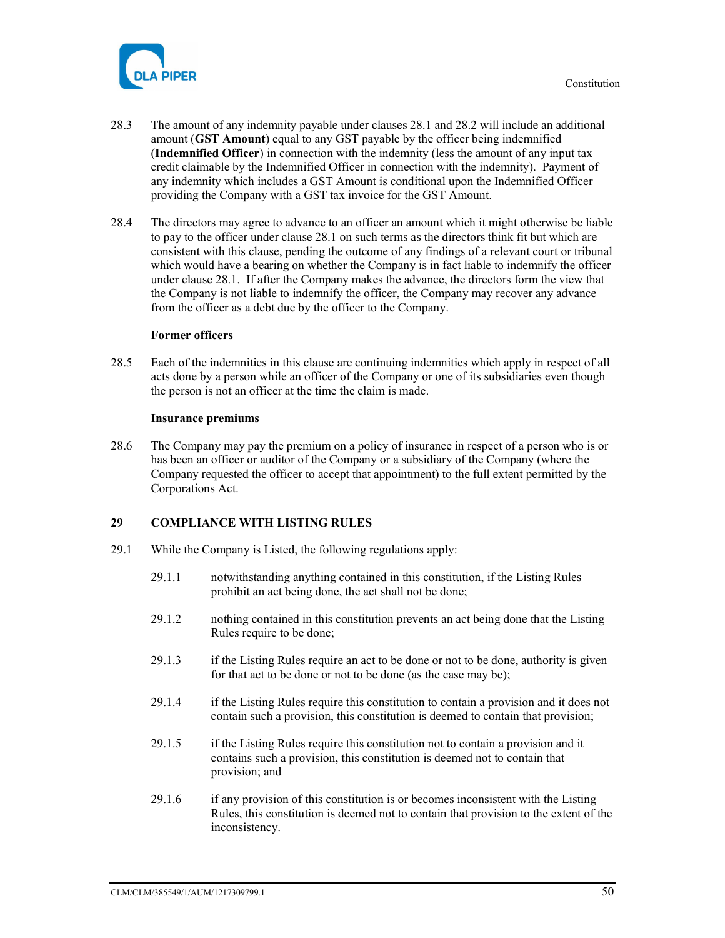



- 28.3 The amount of any indemnity payable under clauses 28.1 and 28.2 will include an additional amount (GST Amount) equal to any GST payable by the officer being indemnified (Indemnified Officer) in connection with the indemnity (less the amount of any input tax credit claimable by the Indemnified Officer in connection with the indemnity). Payment of any indemnity which includes a GST Amount is conditional upon the Indemnified Officer providing the Company with a GST tax invoice for the GST Amount.
- 28.4 The directors may agree to advance to an officer an amount which it might otherwise be liable to pay to the officer under clause 28.1 on such terms as the directors think fit but which are consistent with this clause, pending the outcome of any findings of a relevant court or tribunal which would have a bearing on whether the Company is in fact liable to indemnify the officer under clause 28.1. If after the Company makes the advance, the directors form the view that the Company is not liable to indemnify the officer, the Company may recover any advance from the officer as a debt due by the officer to the Company.

#### Former officers

28.5 Each of the indemnities in this clause are continuing indemnities which apply in respect of all acts done by a person while an officer of the Company or one of its subsidiaries even though the person is not an officer at the time the claim is made.

#### Insurance premiums

28.6 The Company may pay the premium on a policy of insurance in respect of a person who is or has been an officer or auditor of the Company or a subsidiary of the Company (where the Company requested the officer to accept that appointment) to the full extent permitted by the Corporations Act.

#### 29 COMPLIANCE WITH LISTING RULES

- 29.1 While the Company is Listed, the following regulations apply:
	- 29.1.1 notwithstanding anything contained in this constitution, if the Listing Rules prohibit an act being done, the act shall not be done;
	- 29.1.2 nothing contained in this constitution prevents an act being done that the Listing Rules require to be done;
	- 29.1.3 if the Listing Rules require an act to be done or not to be done, authority is given for that act to be done or not to be done (as the case may be);
	- 29.1.4 if the Listing Rules require this constitution to contain a provision and it does not contain such a provision, this constitution is deemed to contain that provision;
	- 29.1.5 if the Listing Rules require this constitution not to contain a provision and it contains such a provision, this constitution is deemed not to contain that provision; and
	- 29.1.6 if any provision of this constitution is or becomes inconsistent with the Listing Rules, this constitution is deemed not to contain that provision to the extent of the inconsistency.